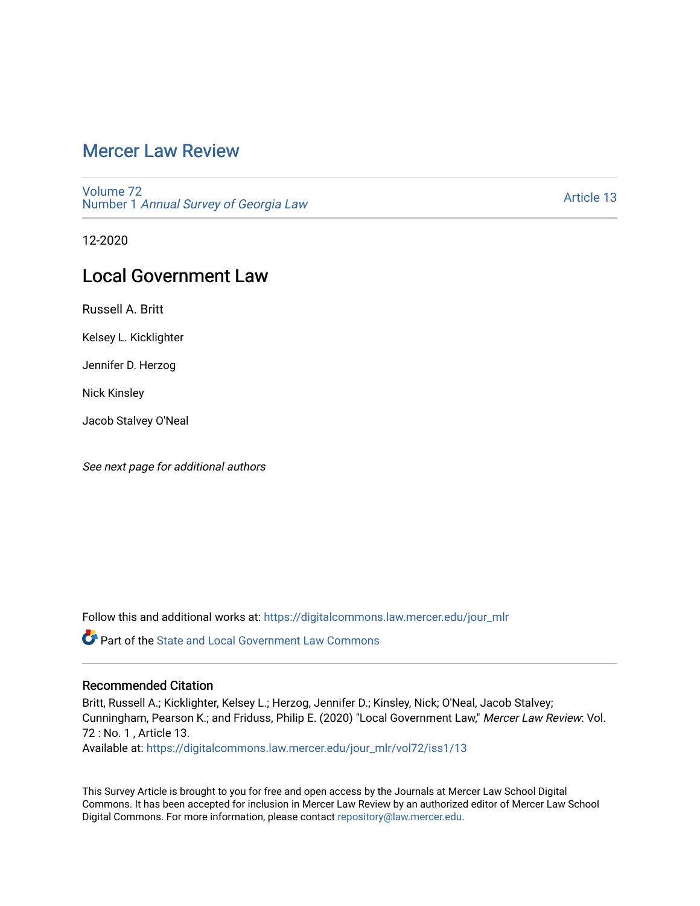## [Mercer Law Review](https://digitalcommons.law.mercer.edu/jour_mlr)

[Volume 72](https://digitalcommons.law.mercer.edu/jour_mlr/vol72) Number 1 [Annual Survey of Georgia Law](https://digitalcommons.law.mercer.edu/jour_mlr/vol72/iss1) 

[Article 13](https://digitalcommons.law.mercer.edu/jour_mlr/vol72/iss1/13) 

12-2020

# Local Government Law

Russell A. Britt

Kelsey L. Kicklighter

Jennifer D. Herzog

Nick Kinsley

Jacob Stalvey O'Neal

See next page for additional authors

Follow this and additional works at: [https://digitalcommons.law.mercer.edu/jour\\_mlr](https://digitalcommons.law.mercer.edu/jour_mlr?utm_source=digitalcommons.law.mercer.edu%2Fjour_mlr%2Fvol72%2Fiss1%2F13&utm_medium=PDF&utm_campaign=PDFCoverPages)

**P** Part of the [State and Local Government Law Commons](http://network.bepress.com/hgg/discipline/879?utm_source=digitalcommons.law.mercer.edu%2Fjour_mlr%2Fvol72%2Fiss1%2F13&utm_medium=PDF&utm_campaign=PDFCoverPages)

### Recommended Citation

Britt, Russell A.; Kicklighter, Kelsey L.; Herzog, Jennifer D.; Kinsley, Nick; O'Neal, Jacob Stalvey; Cunningham, Pearson K.; and Friduss, Philip E. (2020) "Local Government Law," Mercer Law Review: Vol. 72 : No. 1 , Article 13. Available at: [https://digitalcommons.law.mercer.edu/jour\\_mlr/vol72/iss1/13](https://digitalcommons.law.mercer.edu/jour_mlr/vol72/iss1/13?utm_source=digitalcommons.law.mercer.edu%2Fjour_mlr%2Fvol72%2Fiss1%2F13&utm_medium=PDF&utm_campaign=PDFCoverPages) 

This Survey Article is brought to you for free and open access by the Journals at Mercer Law School Digital Commons. It has been accepted for inclusion in Mercer Law Review by an authorized editor of Mercer Law School Digital Commons. For more information, please contact [repository@law.mercer.edu](mailto:repository@law.mercer.edu).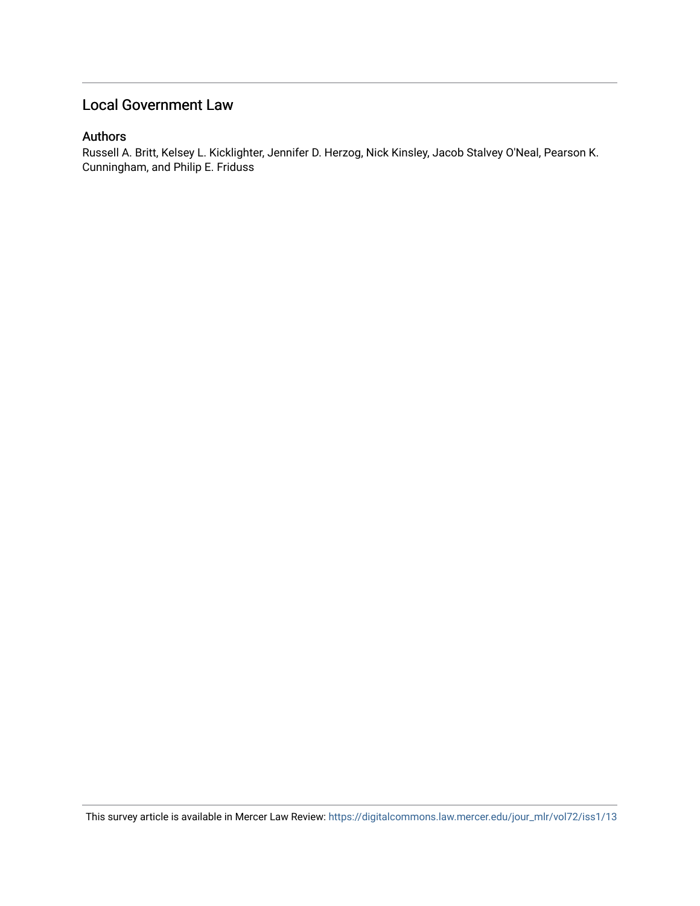## Local Government Law

## Authors

Russell A. Britt, Kelsey L. Kicklighter, Jennifer D. Herzog, Nick Kinsley, Jacob Stalvey O'Neal, Pearson K. Cunningham, and Philip E. Friduss

This survey article is available in Mercer Law Review: [https://digitalcommons.law.mercer.edu/jour\\_mlr/vol72/iss1/13](https://digitalcommons.law.mercer.edu/jour_mlr/vol72/iss1/13)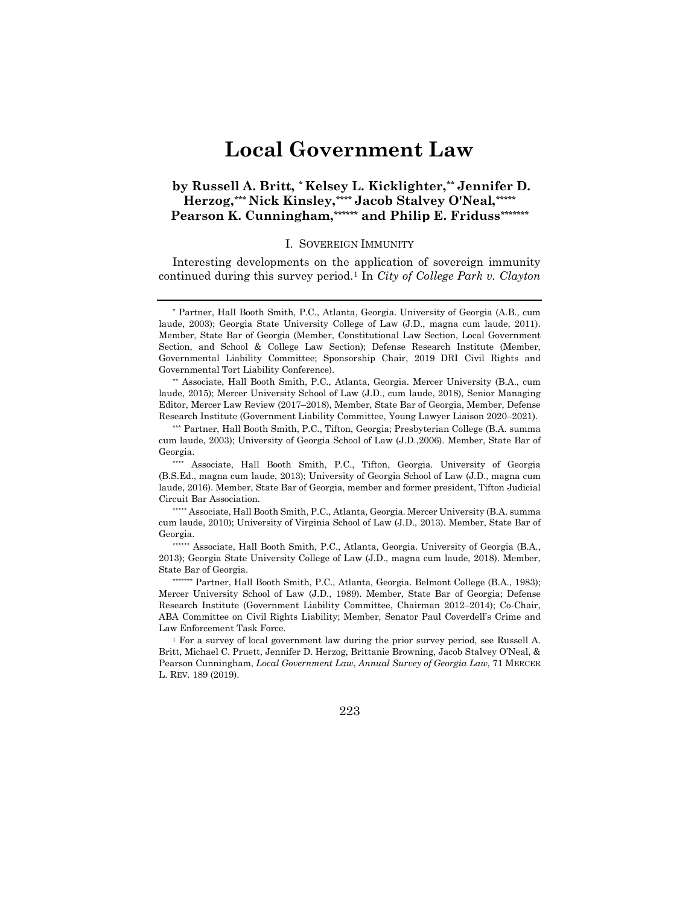# **Local Government Law**

## **by Russell A. Britt, [\\*](#page-2-0) Kelsey L. Kicklighter,[\\*\\*](#page-2-1) Jennifer D. Herzog,[\\*\\*\\*](#page-2-2) Nick Kinsley,[\\*\\*\\*\\*](#page-2-3) Jacob Stalvey O'Neal,[\\*\\*\\*\\*\\*](#page-2-4) Pearson K. Cunningham,[\\*\\*\\*\\*\\*\\*](#page-2-5) and Philip E. Friduss[\\*\\*\\*\\*\\*\\*\\*](#page-2-6)**

#### I. SOVEREIGN IMMUNITY

Interesting developments on the application of sovereign immunity continued during this survey period[.1](#page-2-7) In *City of College Park v. Clayton* 

<span id="page-2-1"></span>\*\* Associate, Hall Booth Smith, P.C., Atlanta, Georgia. Mercer University (B.A., cum laude, 2015); Mercer University School of Law (J.D., cum laude, 2018), Senior Managing Editor, Mercer Law Review (2017–2018), Member, State Bar of Georgia, Member, Defense Research Institute (Government Liability Committee, Young Lawyer Liaison 2020–2021).

<span id="page-2-4"></span>\*\*\*\*\* Associate, Hall Booth Smith, P.C., Atlanta, Georgia. Mercer University (B.A. summa cum laude, 2010); University of Virginia School of Law (J.D., 2013). Member, State Bar of Georgia.

<span id="page-2-5"></span>\*\*\*\*\*\* Associate, Hall Booth Smith, P.C., Atlanta, Georgia. University of Georgia (B.A., 2013); Georgia State University College of Law (J.D., magna cum laude, 2018). Member, State Bar of Georgia.

<span id="page-2-6"></span>\*\*\*\*\*\*\* Partner, Hall Booth Smith, P.C., Atlanta, Georgia. Belmont College (B.A., 1983); Mercer University School of Law (J.D., 1989). Member, State Bar of Georgia; Defense Research Institute (Government Liability Committee, Chairman 2012–2014); Co-Chair, ABA Committee on Civil Rights Liability; Member, Senator Paul Coverdell's Crime and Law Enforcement Task Force.

<span id="page-2-7"></span><sup>1</sup> For a survey of local government law during the prior survey period, see Russell A. Britt, Michael C. Pruett, Jennifer D. Herzog, Brittanie Browning, Jacob Stalvey O'Neal, & Pearson Cunningham, *Local Government Law*, *Annual Survey of Georgia Law*, 71 MERCER L. REV. 189 (2019).

223

<span id="page-2-0"></span><sup>\*</sup> Partner, Hall Booth Smith, P.C., Atlanta, Georgia. University of Georgia (A.B., cum laude, 2003); Georgia State University College of Law (J.D., magna cum laude, 2011). Member, State Bar of Georgia (Member, Constitutional Law Section, Local Government Section, and School & College Law Section); Defense Research Institute (Member, Governmental Liability Committee; Sponsorship Chair, 2019 DRI Civil Rights and Governmental Tort Liability Conference).

<span id="page-2-2"></span><sup>\*\*\*</sup> Partner, Hall Booth Smith, P.C., Tifton, Georgia; Presbyterian College (B.A. summa cum laude, 2003); University of Georgia School of Law (J.D.,2006). Member, State Bar of Georgia.

<span id="page-2-3"></span><sup>\*\*\*\*</sup> Associate, Hall Booth Smith, P.C., Tifton, Georgia. University of Georgia (B.S.Ed., magna cum laude, 2013); University of Georgia School of Law (J.D., magna cum laude, 2016). Member, State Bar of Georgia, member and former president, Tifton Judicial Circuit Bar Association.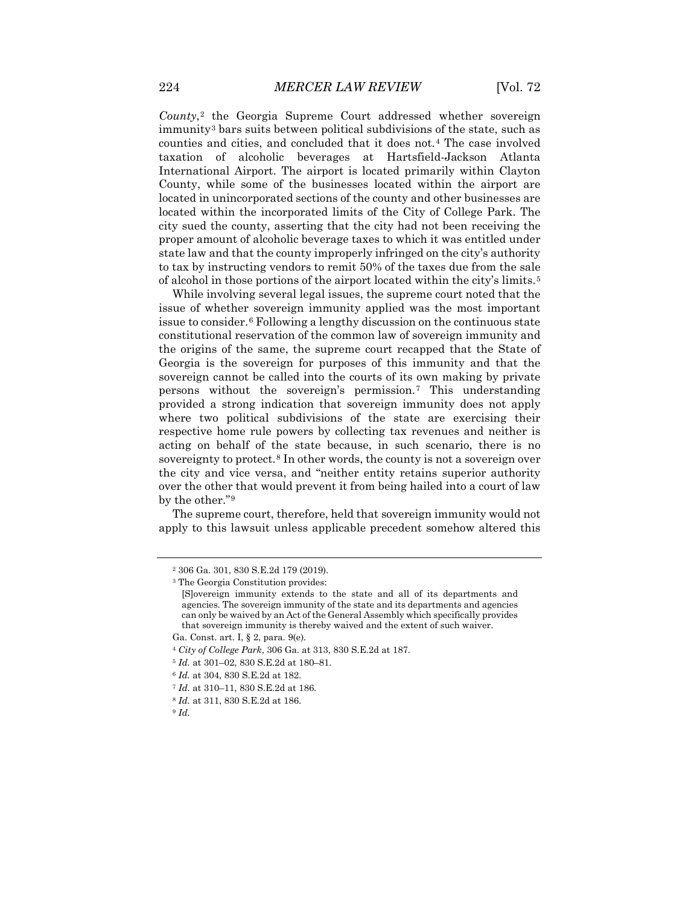*County*,[2](#page-3-0) the Georgia Supreme Court addressed whether sovereign immunity[3](#page-3-1) bars suits between political subdivisions of the state, such as counties and cities, and concluded that it does not.[4](#page-3-2) The case involved taxation of alcoholic beverages at Hartsfield-Jackson Atlanta International Airport. The airport is located primarily within Clayton County, while some of the businesses located within the airport are located in unincorporated sections of the county and other businesses are located within the incorporated limits of the City of College Park. The city sued the county, asserting that the city had not been receiving the proper amount of alcoholic beverage taxes to which it was entitled under state law and that the county improperly infringed on the city's authority to tax by instructing vendors to remit 50% of the taxes due from the sale of alcohol in those portions of the airport located within the city's limits.[5](#page-3-3)

While involving several legal issues, the supreme court noted that the issue of whether sovereign immunity applied was the most important issue to consider.[6](#page-3-4) Following a lengthy discussion on the continuous state constitutional reservation of the common law of sovereign immunity and the origins of the same, the supreme court recapped that the State of Georgia is the sovereign for purposes of this immunity and that the sovereign cannot be called into the courts of its own making by private persons without the sovereign's permission.[7](#page-3-5) This understanding provided a strong indication that sovereign immunity does not apply where two political subdivisions of the state are exercising their respective home rule powers by collecting tax revenues and neither is acting on behalf of the state because, in such scenario, there is no sovereignty to protect.<sup>[8](#page-3-6)</sup> In other words, the county is not a sovereign over the city and vice versa, and "neither entity retains superior authority over the other that would prevent it from being hailed into a court of law by the other."[9](#page-3-7)

<span id="page-3-0"></span>The supreme court, therefore, held that sovereign immunity would not apply to this lawsuit unless applicable precedent somehow altered this

<span id="page-3-3"></span><span id="page-3-2"></span><sup>5</sup> *Id.* at 301–02, 830 S.E.2d at 180–81.

<sup>2</sup> 306 Ga. 301, 830 S.E.2d 179 (2019).

<span id="page-3-1"></span><sup>3</sup> The Georgia Constitution provides:

<sup>[</sup>S]overeign immunity extends to the state and all of its departments and agencies. The sovereign immunity of the state and its departments and agencies can only be waived by an Act of the General Assembly which specifically provides that sovereign immunity is thereby waived and the extent of such waiver.

Ga. Const. art. I, § 2, para. 9(e).

<sup>4</sup> *City of College Park*, 306 Ga. at 313, 830 S.E.2d at 187.

<span id="page-3-4"></span><sup>6</sup> *Id.* at 304, 830 S.E.2d at 182.

<span id="page-3-5"></span><sup>7</sup> *Id.* at 310–11, 830 S.E.2d at 186.

<sup>8</sup> *Id.* at 311, 830 S.E.2d at 186.

<span id="page-3-7"></span><span id="page-3-6"></span><sup>9</sup> *Id.*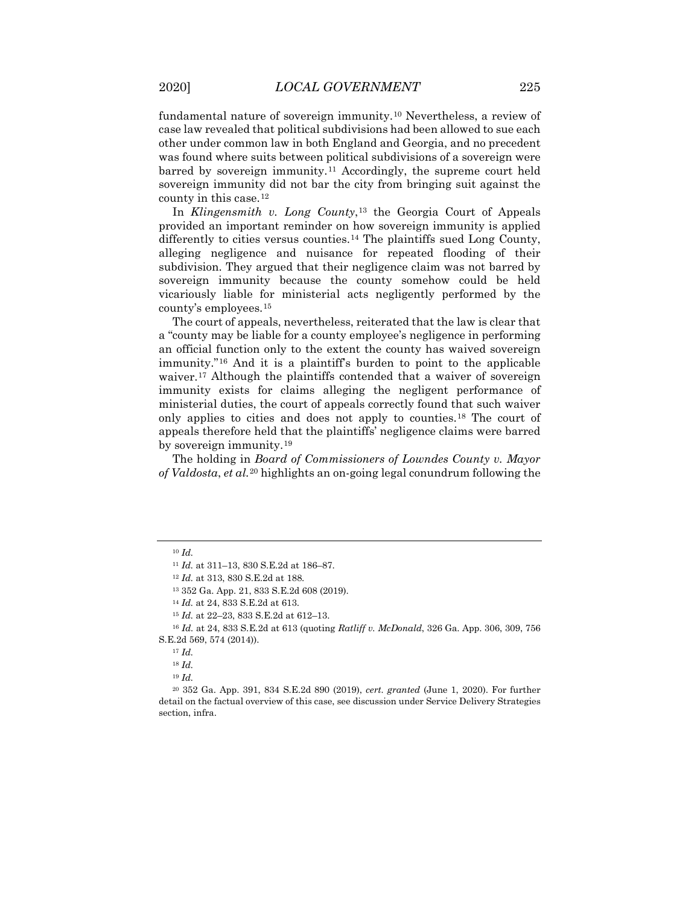fundamental nature of sovereign immunity.[10](#page-4-0) Nevertheless, a review of case law revealed that political subdivisions had been allowed to sue each other under common law in both England and Georgia, and no precedent was found where suits between political subdivisions of a sovereign were barred by sovereign immunity.[11](#page-4-1) Accordingly, the supreme court held sovereign immunity did not bar the city from bringing suit against the county in this case.[12](#page-4-2)

In *Klingensmith v. Long County*,<sup>[13](#page-4-3)</sup> the Georgia Court of Appeals provided an important reminder on how sovereign immunity is applied differently to cities versus counties.<sup>[14](#page-4-4)</sup> The plaintiffs sued Long County, alleging negligence and nuisance for repeated flooding of their subdivision. They argued that their negligence claim was not barred by sovereign immunity because the county somehow could be held vicariously liable for ministerial acts negligently performed by the county's employees.[15](#page-4-5)

The court of appeals, nevertheless, reiterated that the law is clear that a "county may be liable for a county employee's negligence in performing an official function only to the extent the county has waived sovereign immunity."[16](#page-4-6) And it is a plaintiff's burden to point to the applicable waiver.<sup>[17](#page-4-7)</sup> Although the plaintiffs contended that a waiver of sovereign immunity exists for claims alleging the negligent performance of ministerial duties, the court of appeals correctly found that such waiver only applies to cities and does not apply to counties.[18](#page-4-8) The court of appeals therefore held that the plaintiffs' negligence claims were barred by sovereign immunity.[19](#page-4-9)

The holding in *Board of Commissioners of Lowndes County v. Mayor of Valdosta*, *et al.*[20](#page-4-10) highlights an on-going legal conundrum following the

<sup>19</sup> *Id.*

<span id="page-4-1"></span><span id="page-4-0"></span><sup>10</sup> *Id.*

<sup>11</sup> *Id.* at 311–13, 830 S.E.2d at 186–87.

<sup>12</sup> *Id.* at 313, 830 S.E.2d at 188.

<sup>13</sup> 352 Ga. App. 21, 833 S.E.2d 608 (2019).

<sup>14</sup> *Id.* at 24, 833 S.E.2d at 613.

<sup>15</sup> *Id.* at 22–23, 833 S.E.2d at 612–13.

<span id="page-4-7"></span><span id="page-4-6"></span><span id="page-4-5"></span><span id="page-4-4"></span><span id="page-4-3"></span><span id="page-4-2"></span><sup>16</sup> *Id.* at 24, 833 S.E.2d at 613 (quoting *Ratliff v. McDonald*, 326 Ga. App. 306, 309, 756 S.E.2d 569, 574 (2014)).

<sup>17</sup> *Id.*

<sup>18</sup> *Id.*

<span id="page-4-10"></span><span id="page-4-9"></span><span id="page-4-8"></span><sup>20</sup> 352 Ga. App. 391, 834 S.E.2d 890 (2019), *cert. granted* (June 1, 2020). For further detail on the factual overview of this case, see discussion under Service Delivery Strategies section, infra.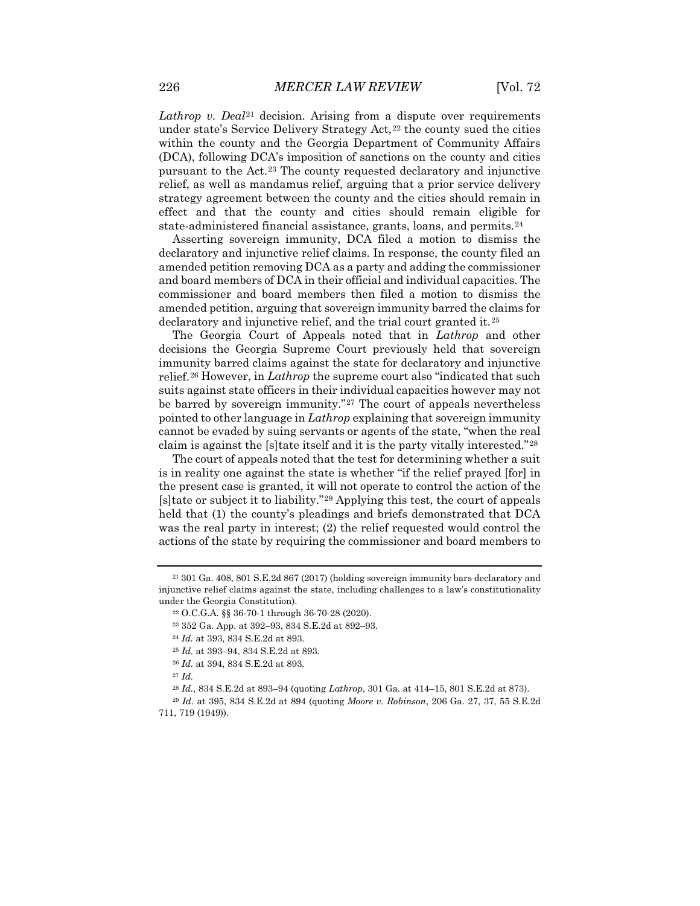*Lathrop v. Deal*[21](#page-5-0) decision. Arising from a dispute over requirements under state's Service Delivery Strategy  $Act.^{22}$  $Act.^{22}$  $Act.^{22}$  the county sued the cities within the county and the Georgia Department of Community Affairs (DCA), following DCA's imposition of sanctions on the county and cities pursuant to the Act.[23](#page-5-2) The county requested declaratory and injunctive relief, as well as mandamus relief, arguing that a prior service delivery strategy agreement between the county and the cities should remain in effect and that the county and cities should remain eligible for state-administered financial assistance, grants, loans, and permits.[24](#page-5-3)

Asserting sovereign immunity, DCA filed a motion to dismiss the declaratory and injunctive relief claims. In response, the county filed an amended petition removing DCA as a party and adding the commissioner and board members of DCA in their official and individual capacities. The commissioner and board members then filed a motion to dismiss the amended petition, arguing that sovereign immunity barred the claims for declaratory and injunctive relief, and the trial court granted it.[25](#page-5-4)

The Georgia Court of Appeals noted that in *Lathrop* and other decisions the Georgia Supreme Court previously held that sovereign immunity barred claims against the state for declaratory and injunctive relief.[26](#page-5-5) However, in *Lathrop* the supreme court also "indicated that such suits against state officers in their individual capacities however may not be barred by sovereign immunity."<sup>[27](#page-5-6)</sup> The court of appeals nevertheless pointed to other language in *Lathrop* explaining that sovereign immunity cannot be evaded by suing servants or agents of the state, "when the real claim is against the [s]tate itself and it is the party vitally interested."[28](#page-5-7)

The court of appeals noted that the test for determining whether a suit is in reality one against the state is whether "if the relief prayed [for] in the present case is granted, it will not operate to control the action of the [s]tate or subject it to liability."[29](#page-5-8) Applying this test, the court of appeals held that (1) the county's pleadings and briefs demonstrated that DCA was the real party in interest; (2) the relief requested would control the actions of the state by requiring the commissioner and board members to

<span id="page-5-3"></span><span id="page-5-2"></span><span id="page-5-1"></span><span id="page-5-0"></span><sup>21</sup> 301 Ga. 408, 801 S.E.2d 867 (2017) (holding sovereign immunity bars declaratory and injunctive relief claims against the state, including challenges to a law's constitutionality under the Georgia Constitution).

<sup>22</sup> O.C.G.A. §§ 36-70-1 through 36-70-28 (2020).

<sup>23</sup> 352 Ga. App. at 392–93, 834 S.E.2d at 892–93.

<sup>24</sup> *Id.* at 393, 834 S.E.2d at 893.

<sup>25</sup> *Id.* at 393–94, 834 S.E.2d at 893.

<sup>26</sup> *Id.* at 394, 834 S.E.2d at 893.

<sup>27</sup> *Id.*

<sup>28</sup> *Id.*, 834 S.E.2d at 893–94 (quoting *Lathrop*, 301 Ga. at 414–15, 801 S.E.2d at 873).

<span id="page-5-8"></span><span id="page-5-7"></span><span id="page-5-6"></span><span id="page-5-5"></span><span id="page-5-4"></span><sup>29</sup> *Id.* at 395, 834 S.E.2d at 894 (quoting *Moore v. Robinson*, 206 Ga. 27, 37, 55 S.E.2d 711, 719 (1949)).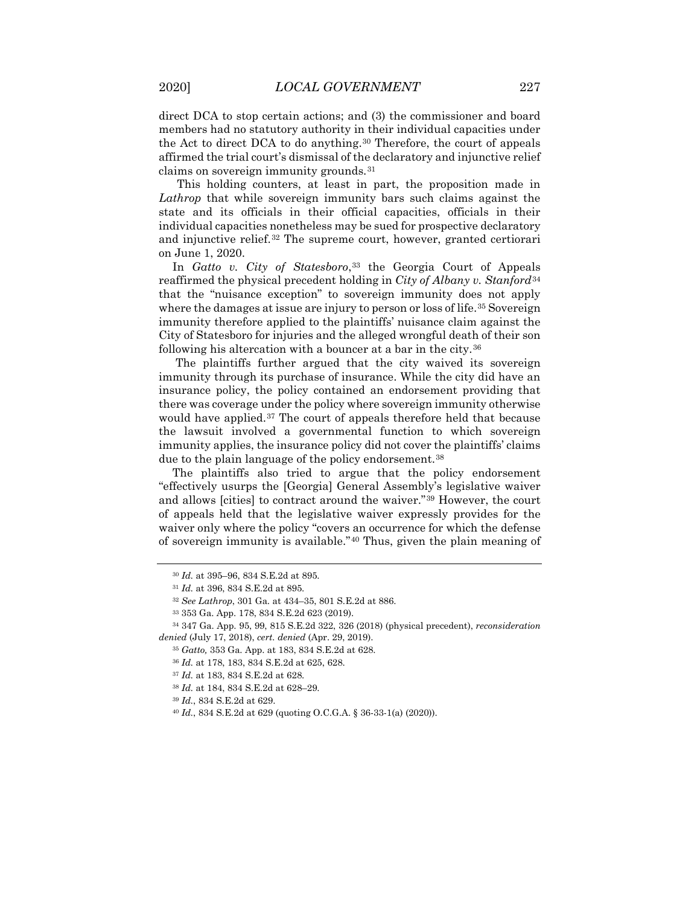direct DCA to stop certain actions; and (3) the commissioner and board members had no statutory authority in their individual capacities under the Act to direct DCA to do anything.<sup>[30](#page-6-0)</sup> Therefore, the court of appeals affirmed the trial court's dismissal of the declaratory and injunctive relief claims on sovereign immunity grounds.[31](#page-6-1)

This holding counters, at least in part, the proposition made in *Lathrop* that while sovereign immunity bars such claims against the state and its officials in their official capacities, officials in their individual capacities nonetheless may be sued for prospective declaratory and injunctive relief.<sup>[32](#page-6-2)</sup> The supreme court, however, granted certiorari on June 1, 2020.

In *Gatto v. City of Statesboro*,<sup>[33](#page-6-3)</sup> the Georgia Court of Appeals reaffirmed the physical precedent holding in *City of Albany v. Stanford*[34](#page-6-4) that the "nuisance exception" to sovereign immunity does not apply where the damages at issue are injury to person or loss of life.<sup>[35](#page-6-5)</sup> Sovereign immunity therefore applied to the plaintiffs' nuisance claim against the City of Statesboro for injuries and the alleged wrongful death of their son following his altercation with a bouncer at a bar in the city.[36](#page-6-6)

The plaintiffs further argued that the city waived its sovereign immunity through its purchase of insurance. While the city did have an insurance policy, the policy contained an endorsement providing that there was coverage under the policy where sovereign immunity otherwise would have applied.<sup>[37](#page-6-7)</sup> The court of appeals therefore held that because the lawsuit involved a governmental function to which sovereign immunity applies, the insurance policy did not cover the plaintiffs' claims due to the plain language of the policy endorsement.<sup>[38](#page-6-8)</sup>

The plaintiffs also tried to argue that the policy endorsement "effectively usurps the [Georgia] General Assembly's legislative waiver and allows [cities] to contract around the waiver."[39](#page-6-9) However, the court of appeals held that the legislative waiver expressly provides for the waiver only where the policy "covers an occurrence for which the defense of sovereign immunity is available."[40](#page-6-10) Thus, given the plain meaning of

<sup>30</sup> *Id.* at 395–96, 834 S.E.2d at 895.

<sup>31</sup> *Id.* at 396, 834 S.E.2d at 895.

<sup>32</sup> *See Lathrop*, 301 Ga. at 434–35, 801 S.E.2d at 886.

<sup>33</sup> 353 Ga. App. 178, 834 S.E.2d 623 (2019).

<span id="page-6-8"></span><span id="page-6-7"></span><span id="page-6-6"></span><span id="page-6-5"></span><span id="page-6-4"></span><span id="page-6-3"></span><span id="page-6-2"></span><span id="page-6-1"></span><span id="page-6-0"></span><sup>34</sup> 347 Ga. App. 95, 99, 815 S.E.2d 322, 326 (2018) (physical precedent), *reconsideration denied* (July 17, 2018), *cert. denied* (Apr. 29, 2019).

<sup>35</sup> *Gatto,* 353 Ga. App. at 183, 834 S.E.2d at 628.

<sup>36</sup> *Id.* at 178, 183, 834 S.E.2d at 625, 628.

<sup>37</sup> *Id.* at 183, 834 S.E.2d at 628.

<sup>38</sup> *Id.* at 184, 834 S.E.2d at 628–29.

<span id="page-6-10"></span><span id="page-6-9"></span><sup>39</sup> *Id.*, 834 S.E.2d at 629.

<sup>40</sup> *Id.*, 834 S.E.2d at 629 (quoting O.C.G.A. § 36-33-1(a) (2020)).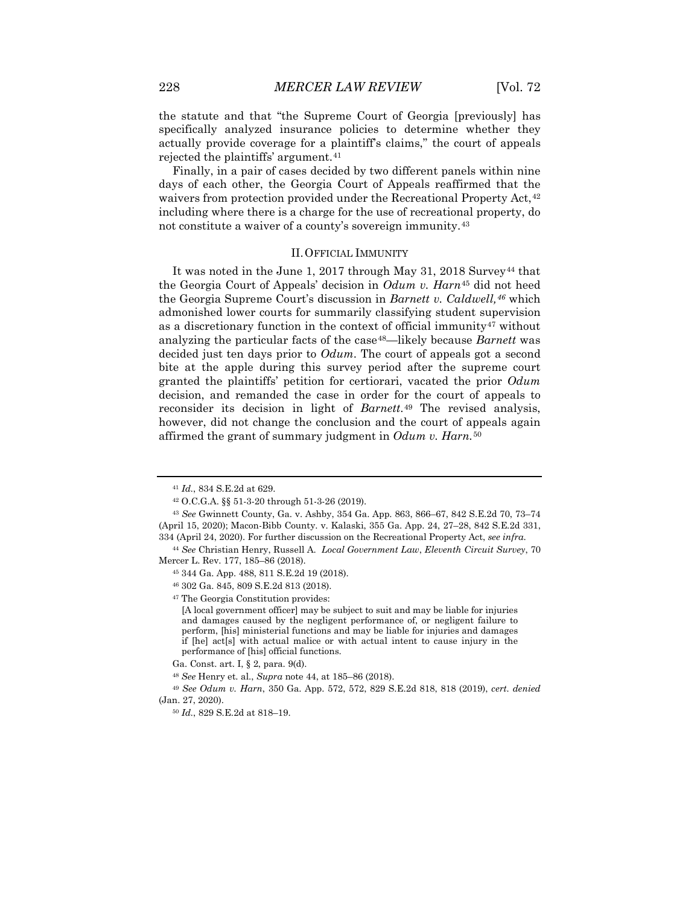the statute and that "the Supreme Court of Georgia [previously] has specifically analyzed insurance policies to determine whether they actually provide coverage for a plaintiff's claims," the court of appeals rejected the plaintiffs' argument.<sup>[41](#page-7-0)</sup>

Finally, in a pair of cases decided by two different panels within nine days of each other, the Georgia Court of Appeals reaffirmed that the waivers from protection provided under the Recreational Property Act,<sup>[42](#page-7-1)</sup> including where there is a charge for the use of recreational property, do not constitute a waiver of a county's sovereign immunity.[43](#page-7-2)

#### II.OFFICIAL IMMUNITY

It was noted in the June 1, 2017 through May 31, 2018 Survey<sup>[44](#page-7-3)</sup> that the Georgia Court of Appeals' decision in *Odum v. Harn*[45](#page-7-4) did not heed the Georgia Supreme Court's discussion in *Barnett v. Caldwell,[46](#page-7-5)* which admonished lower courts for summarily classifying student supervision as a discretionary function in the context of official immunity $47$  without analyzing the particular facts of the case<sup>48</sup>—likely because *Barnett* was decided just ten days prior to *Odum*. The court of appeals got a second bite at the apple during this survey period after the supreme court granted the plaintiffs' petition for certiorari, vacated the prior *Odum*  decision, and remanded the case in order for the court of appeals to reconsider its decision in light of *Barnett*.[49](#page-7-8) The revised analysis, however, did not change the conclusion and the court of appeals again affirmed the grant of summary judgment in *Odum v. Harn.*[50](#page-7-9)

<sup>41</sup> *Id.*, 834 S.E.2d at 629.

<sup>42</sup> O.C.G.A. §§ 51-3-20 through 51-3-26 (2019).

<span id="page-7-2"></span><span id="page-7-1"></span><span id="page-7-0"></span><sup>43</sup> *See* Gwinnett County, Ga. v. Ashby, 354 Ga. App. 863, 866–67, 842 S.E.2d 70, 73–74 (April 15, 2020); Macon-Bibb County. v. Kalaski, 355 Ga. App. 24, 27–28, 842 S.E.2d 331, 334 (April 24, 2020). For further discussion on the Recreational Property Act, *see infra*.

<span id="page-7-6"></span><span id="page-7-5"></span><span id="page-7-4"></span><span id="page-7-3"></span><sup>44</sup> *See* Christian Henry, Russell A. *Local Government Law*, *Eleventh Circuit Survey*, 70 Mercer L. Rev. 177, 185–86 (2018).

<sup>45</sup> 344 Ga. App. 488, 811 S.E.2d 19 (2018).

<sup>46</sup> 302 Ga. 845, 809 S.E.2d 813 (2018).

<sup>47</sup> The Georgia Constitution provides:

<sup>[</sup>A local government officer] may be subject to suit and may be liable for injuries and damages caused by the negligent performance of, or negligent failure to perform, [his] ministerial functions and may be liable for injuries and damages if [he] act[s] with actual malice or with actual intent to cause injury in the performance of [his] official functions.

Ga. Const. art. I, § 2, para. 9(d).

<sup>48</sup> *See* Henry et. al., *Supra* note 44, at 185–86 (2018).

<span id="page-7-9"></span><span id="page-7-8"></span><span id="page-7-7"></span><sup>49</sup> *See Odum v. Harn*, 350 Ga. App. 572, 572, 829 S.E.2d 818, 818 (2019), *cert. denied* (Jan. 27, 2020).

<sup>50</sup> *Id.*, 829 S.E.2d at 818–19.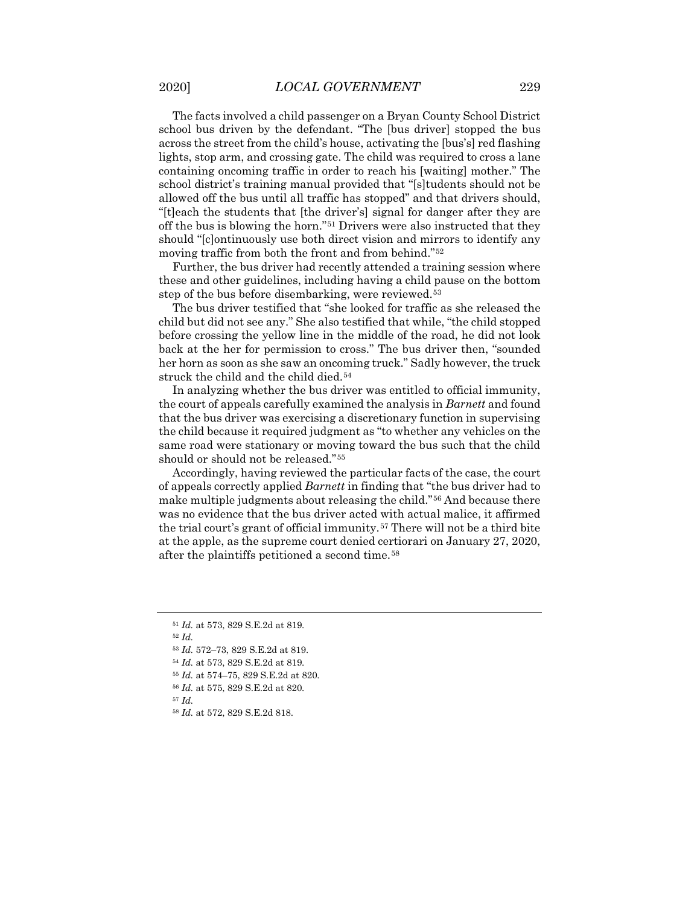The facts involved a child passenger on a Bryan County School District school bus driven by the defendant. "The [bus driver] stopped the bus across the street from the child's house, activating the [bus's] red flashing lights, stop arm, and crossing gate. The child was required to cross a lane containing oncoming traffic in order to reach his [waiting] mother." The school district's training manual provided that "[s]tudents should not be allowed off the bus until all traffic has stopped" and that drivers should, "[t]each the students that [the driver's] signal for danger after they are off the bus is blowing the horn."[51](#page-8-0) Drivers were also instructed that they should "[c]ontinuously use both direct vision and mirrors to identify any moving traffic from both the front and from behind."[52](#page-8-1)

Further, the bus driver had recently attended a training session where these and other guidelines, including having a child pause on the bottom step of the bus before disembarking, were reviewed.[53](#page-8-2)

The bus driver testified that "she looked for traffic as she released the child but did not see any." She also testified that while, "the child stopped before crossing the yellow line in the middle of the road, he did not look back at the her for permission to cross." The bus driver then, "sounded her horn as soon as she saw an oncoming truck." Sadly however, the truck struck the child and the child died.<sup>54</sup>

In analyzing whether the bus driver was entitled to official immunity, the court of appeals carefully examined the analysis in *Barnett* and found that the bus driver was exercising a discretionary function in supervising the child because it required judgment as "to whether any vehicles on the same road were stationary or moving toward the bus such that the child should or should not be released."[55](#page-8-4)

Accordingly, having reviewed the particular facts of the case, the court of appeals correctly applied *Barnett* in finding that "the bus driver had to make multiple judgments about releasing the child."[56](#page-8-5) And because there was no evidence that the bus driver acted with actual malice, it affirmed the trial court's grant of official immunity.[57](#page-8-6) There will not be a third bite at the apple, as the supreme court denied certiorari on January 27, 2020, after the plaintiffs petitioned a second time.[58](#page-8-7)

- <span id="page-8-3"></span><sup>54</sup> *Id.* at 573, 829 S.E.2d at 819.
- <span id="page-8-4"></span><sup>55</sup> *Id.* at 574–75, 829 S.E.2d at 820.
- <sup>56</sup> *Id.* at 575, 829 S.E.2d at 820.

<span id="page-8-7"></span><span id="page-8-6"></span><span id="page-8-5"></span><sup>57</sup> *Id.*

<span id="page-8-0"></span><sup>51</sup> *Id.* at 573, 829 S.E.2d at 819.

<span id="page-8-2"></span><span id="page-8-1"></span><sup>52</sup> *Id.*

<sup>53</sup> *Id.* 572–73, 829 S.E.2d at 819.

<sup>58</sup> *Id.* at 572, 829 S.E.2d 818.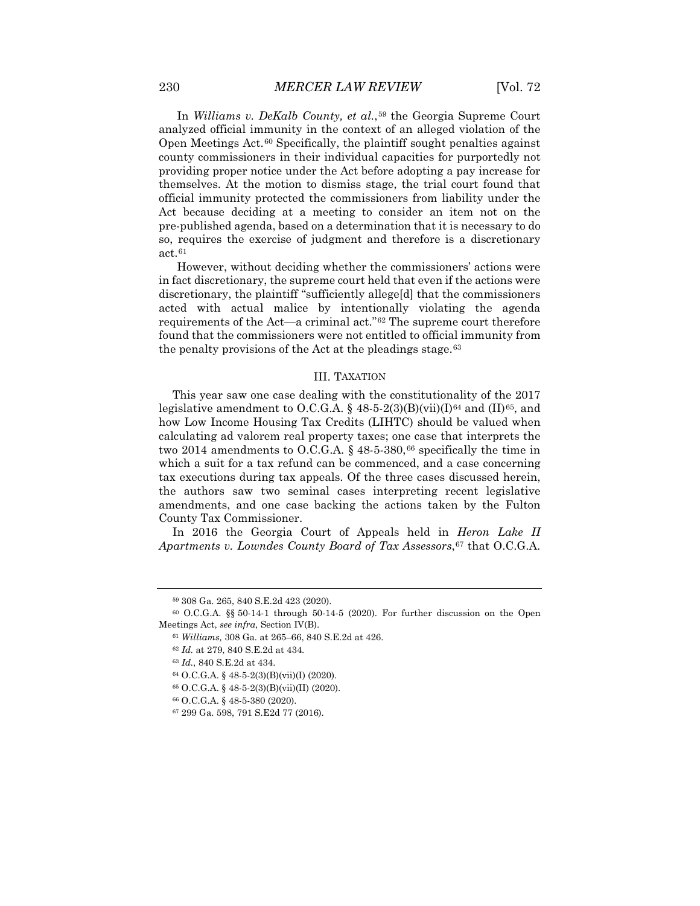In *Williams v. DeKalb County, et al.*,[59](#page-9-0) the Georgia Supreme Court analyzed official immunity in the context of an alleged violation of the Open Meetings Act.[60](#page-9-1) Specifically, the plaintiff sought penalties against county commissioners in their individual capacities for purportedly not providing proper notice under the Act before adopting a pay increase for themselves. At the motion to dismiss stage, the trial court found that official immunity protected the commissioners from liability under the Act because deciding at a meeting to consider an item not on the pre-published agenda, based on a determination that it is necessary to do so, requires the exercise of judgment and therefore is a discretionary act.[61](#page-9-2)

However, without deciding whether the commissioners' actions were in fact discretionary, the supreme court held that even if the actions were discretionary, the plaintiff "sufficiently allege[d] that the commissioners acted with actual malice by intentionally violating the agenda requirements of the Act—a criminal act."[62](#page-9-3) The supreme court therefore found that the commissioners were not entitled to official immunity from the penalty provisions of the Act at the pleadings stage.<sup>[63](#page-9-4)</sup>

#### III. TAXATION

This year saw one case dealing with the constitutionality of the 2017 legislative amendment to O.C.G.A. § 48-5-2(3)(B)(vii)(I)<sup>64</sup> and (II)<sup>65</sup>, and how Low Income Housing Tax Credits (LIHTC) should be valued when calculating ad valorem real property taxes; one case that interprets the two 2014 amendments to O.C.G.A.  $\S$  48-5-380,<sup>[66](#page-9-7)</sup> specifically the time in which a suit for a tax refund can be commenced, and a case concerning tax executions during tax appeals. Of the three cases discussed herein, the authors saw two seminal cases interpreting recent legislative amendments, and one case backing the actions taken by the Fulton County Tax Commissioner.

In 2016 the Georgia Court of Appeals held in *Heron Lake II Apartments v. Lowndes County Board of Tax Assessors*,[67](#page-9-8) that O.C.G.A.

<sup>59</sup> 308 Ga. 265, 840 S.E.2d 423 (2020).

<span id="page-9-5"></span><span id="page-9-4"></span><span id="page-9-3"></span><span id="page-9-2"></span><span id="page-9-1"></span><span id="page-9-0"></span> $60$  O.C.G.A. §§ 50-14-1 through 50-14-5 (2020). For further discussion on the Open Meetings Act, *see infra*, Section IV(B).

<sup>61</sup> *Williams,* 308 Ga. at 265–66, 840 S.E.2d at 426.

<sup>62</sup> *Id.* at 279, 840 S.E.2d at 434.

<sup>63</sup> *Id.*, 840 S.E.2d at 434.

<sup>64</sup> O.C.G.A. § 48-5-2(3)(B)(vii)(I) (2020).

<sup>65</sup> O.C.G.A. § 48-5-2(3)(B)(vii)(II) (2020).

<span id="page-9-7"></span><span id="page-9-6"></span><sup>66</sup> O.C.G.A. § 48-5-380 (2020).

<span id="page-9-8"></span><sup>67</sup> 299 Ga. 598, 791 S.E2d 77 (2016).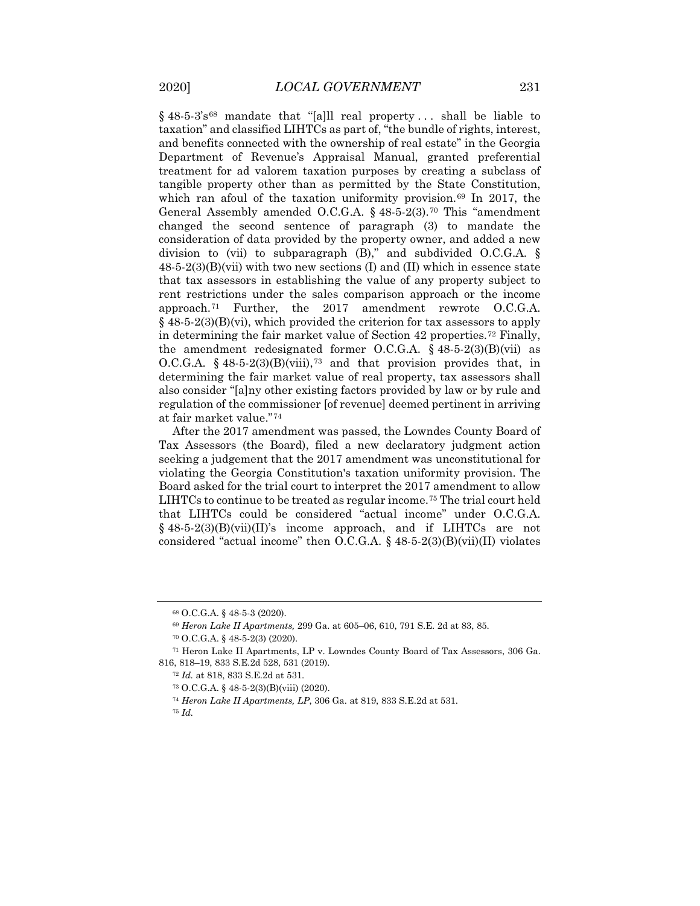$§$  48.5.3's<sup>[68](#page-10-0)</sup> mandate that "[a]ll real property... shall be liable to taxation" and classified LIHTCs as part of, "the bundle of rights, interest, and benefits connected with the ownership of real estate" in the Georgia Department of Revenue's Appraisal Manual, granted preferential treatment for ad valorem taxation purposes by creating a subclass of tangible property other than as permitted by the State Constitution, which ran afoul of the taxation uniformity provision.<sup>[69](#page-10-1)</sup> In 2017, the General Assembly amended O.C.G.A. § 48-5-2(3).[70](#page-10-2) This "amendment changed the second sentence of paragraph (3) to mandate the consideration of data provided by the property owner, and added a new division to (vii) to subparagraph (B)," and subdivided O.C.G.A. §  $48-5-2(3)(B)(vii)$  with two new sections (I) and (II) which in essence state that tax assessors in establishing the value of any property subject to rent restrictions under the sales comparison approach or the income approach.[71](#page-10-3) Further, the 2017 amendment rewrote O.C.G.A.  $§$  48-5-2(3)(B)(vi), which provided the criterion for tax assessors to apply in determining the fair market value of Section 42 properties.[72](#page-10-4) Finally, the amendment redesignated former O.C.G.A.  $\S$  48-5-2(3)(B)(vii) as O.C.G.A. § 48-5-2(3)(B)(viii),<sup>[73](#page-10-5)</sup> and that provision provides that, in determining the fair market value of real property, tax assessors shall also consider "[a]ny other existing factors provided by law or by rule and regulation of the commissioner [of revenue] deemed pertinent in arriving at fair market value."[74](#page-10-6)

After the 2017 amendment was passed, the Lowndes County Board of Tax Assessors (the Board), filed a new declaratory judgment action seeking a judgement that the 2017 amendment was unconstitutional for violating the Georgia Constitution's taxation uniformity provision. The Board asked for the trial court to interpret the 2017 amendment to allow LIHTCs to continue to be treated as regular income.<sup>[75](#page-10-7)</sup> The trial court held that LIHTCs could be considered "actual income" under O.C.G.A.  $§$  48-5-2(3)(B)(vii)(II)'s income approach, and if LIHTCs are not considered "actual income" then O.C.G.A. § 48-5-2(3)(B)(vii)(II) violates

<sup>68</sup> O.C.G.A. § 48-5-3 (2020).

<sup>69</sup> *Heron Lake II Apartments,* 299 Ga. at 605–06, 610, 791 S.E. 2d at 83, 85.

<sup>70</sup> O.C.G.A. § 48-5-2(3) (2020).

<span id="page-10-7"></span><span id="page-10-6"></span><span id="page-10-5"></span><span id="page-10-4"></span><span id="page-10-3"></span><span id="page-10-2"></span><span id="page-10-1"></span><span id="page-10-0"></span><sup>71</sup> Heron Lake II Apartments, LP v. Lowndes County Board of Tax Assessors, 306 Ga. 816, 818–19, 833 S.E.2d 528, 531 (2019).

<sup>72</sup> *Id.* at 818, 833 S.E.2d at 531.

<sup>73</sup> O.C.G.A. § 48-5-2(3)(B)(viii) (2020).

<sup>74</sup> *Heron Lake II Apartments, LP*, 306 Ga. at 819, 833 S.E.2d at 531.

<sup>75</sup> *Id.*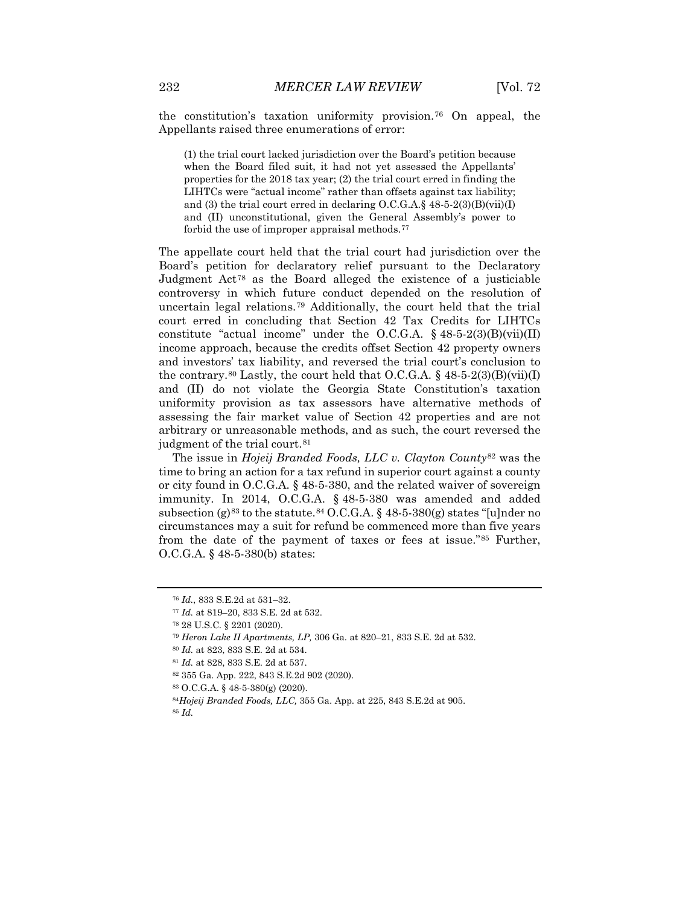the constitution's taxation uniformity provision.[76](#page-11-0) On appeal, the Appellants raised three enumerations of error:

(1) the trial court lacked jurisdiction over the Board's petition because when the Board filed suit, it had not yet assessed the Appellants' properties for the 2018 tax year; (2) the trial court erred in finding the LIHTCs were "actual income" rather than offsets against tax liability; and (3) the trial court erred in declaring  $O.C.G.A.\S$  48-5-2(3)(B)(vii)(I) and (II) unconstitutional, given the General Assembly's power to forbid the use of improper appraisal methods.[77](#page-11-1)

The appellate court held that the trial court had jurisdiction over the Board's petition for declaratory relief pursuant to the Declaratory Judgment  $\text{Act}^{78}$  $\text{Act}^{78}$  $\text{Act}^{78}$  as the Board alleged the existence of a justiciable controversy in which future conduct depended on the resolution of uncertain legal relations.[79](#page-11-3) Additionally, the court held that the trial court erred in concluding that Section 42 Tax Credits for LIHTCs constitute "actual income" under the O.C.G.A.  $\S$  48-5-2(3)(B)(vii)(II) income approach, because the credits offset Section 42 property owners and investors' tax liability, and reversed the trial court's conclusion to the contrary.<sup>[80](#page-11-4)</sup> Lastly, the court held that O.C.G.A.  $\S$  48-5-2(3)(B)(vii)(I) and (II) do not violate the Georgia State Constitution's taxation uniformity provision as tax assessors have alternative methods of assessing the fair market value of Section 42 properties and are not arbitrary or unreasonable methods, and as such, the court reversed the judgment of the trial court.<sup>[81](#page-11-5)</sup>

The issue in *Hojeij Branded Foods, LLC v. Clayton County*[82](#page-11-6) was the time to bring an action for a tax refund in superior court against a county or city found in O.C.G.A. § 48-5-380, and the related waiver of sovereign immunity. In 2014, O.C.G.A. § 48-5-380 was amended and added subsection (g)<sup>[83](#page-11-7)</sup> to the statute.<sup>[84](#page-11-8)</sup> O.C.G.A.  $\S$  48-5-380(g) states "[u]nder no circumstances may a suit for refund be commenced more than five years from the date of the payment of taxes or fees at issue."[85](#page-11-9) Further, O.C.G.A. § 48-5-380(b) states:

<span id="page-11-0"></span><sup>76</sup> *Id.*, 833 S.E.2d at 531–32.

<span id="page-11-1"></span><sup>77</sup> *Id.* at 819–20, 833 S.E. 2d at 532.

<span id="page-11-3"></span><span id="page-11-2"></span><sup>78</sup> 28 U.S.C. § 2201 (2020).

<sup>79</sup> *Heron Lake II Apartments, LP,* 306 Ga. at 820–21, 833 S.E. 2d at 532.

<sup>80</sup> *Id.* at 823, 833 S.E. 2d at 534.

<span id="page-11-6"></span><span id="page-11-5"></span><span id="page-11-4"></span><sup>81</sup> *Id.* at 828, 833 S.E. 2d at 537.

<sup>82</sup> 355 Ga. App. 222, 843 S.E.2d 902 (2020).

<sup>83</sup> O.C.G.A. § 48-5-380(g) (2020).

<span id="page-11-9"></span><span id="page-11-8"></span><span id="page-11-7"></span><sup>84</sup>*Hojeij Branded Foods, LLC,* 355 Ga. App. at 225, 843 S.E.2d at 905. <sup>85</sup> *Id.*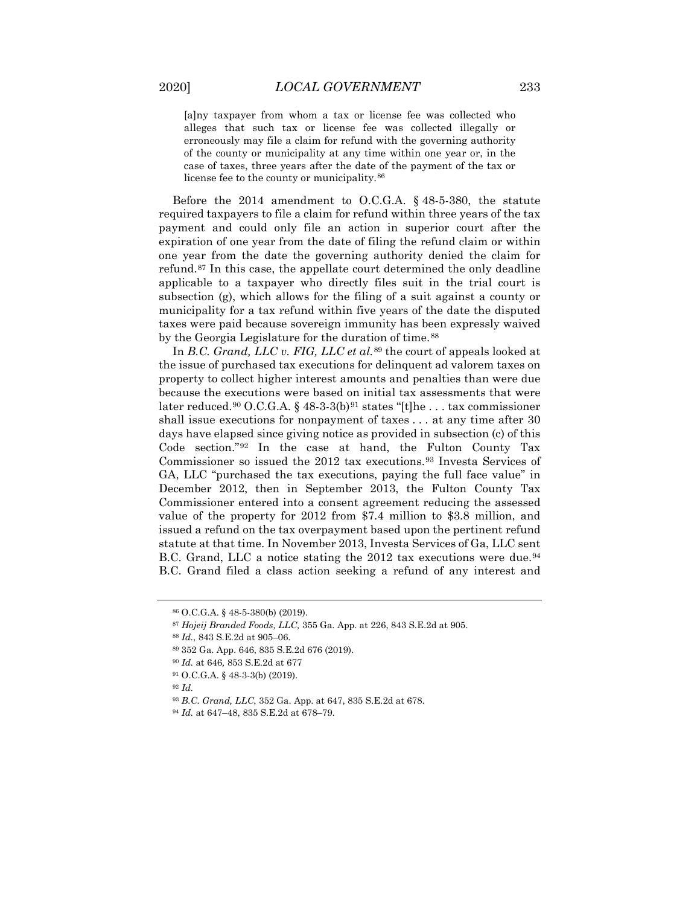[a]ny taxpayer from whom a tax or license fee was collected who alleges that such tax or license fee was collected illegally or erroneously may file a claim for refund with the governing authority of the county or municipality at any time within one year or, in the case of taxes, three years after the date of the payment of the tax or license fee to the county or municipality.<sup>[86](#page-12-0)</sup>

Before the 2014 amendment to O.C.G.A. § 48-5-380, the statute required taxpayers to file a claim for refund within three years of the tax payment and could only file an action in superior court after the expiration of one year from the date of filing the refund claim or within one year from the date the governing authority denied the claim for refund.[87](#page-12-1) In this case, the appellate court determined the only deadline applicable to a taxpayer who directly files suit in the trial court is subsection (g), which allows for the filing of a suit against a county or municipality for a tax refund within five years of the date the disputed taxes were paid because sovereign immunity has been expressly waived by the Georgia Legislature for the duration of time.<sup>[88](#page-12-2)</sup>

In *B.C. Grand, LLC v. FIG, LLC et al.*[89](#page-12-3) the court of appeals looked at the issue of purchased tax executions for delinquent ad valorem taxes on property to collect higher interest amounts and penalties than were due because the executions were based on initial tax assessments that were later reduced.<sup>[90](#page-12-4)</sup> O.C.G.A. § 48-3-3(b)<sup>[91](#page-12-5)</sup> states "[t]he ... tax commissioner shall issue executions for nonpayment of taxes . . . at any time after 30 days have elapsed since giving notice as provided in subsection (c) of this Code section."[92](#page-12-6) In the case at hand, the Fulton County Tax Commissioner so issued the 2012 tax executions.[93](#page-12-7) Investa Services of GA, LLC "purchased the tax executions, paying the full face value" in December 2012, then in September 2013, the Fulton County Tax Commissioner entered into a consent agreement reducing the assessed value of the property for 2012 from \$7.4 million to \$3.8 million, and issued a refund on the tax overpayment based upon the pertinent refund statute at that time. In November 2013, Investa Services of Ga, LLC sent B.C. Grand, LLC a notice stating the 2012 tax executions were due.<sup>[94](#page-12-8)</sup> B.C. Grand filed a class action seeking a refund of any interest and

<span id="page-12-0"></span><sup>86</sup> O.C.G.A. § 48-5-380(b) (2019).

<span id="page-12-2"></span><span id="page-12-1"></span><sup>87</sup> *Hojeij Branded Foods, LLC,* 355 Ga. App. at 226, 843 S.E.2d at 905.

<sup>88</sup> *Id.*, 843 S.E.2d at 905–06.

<span id="page-12-3"></span><sup>89</sup> 352 Ga. App. 646, 835 S.E.2d 676 (2019).

<sup>90</sup> *Id.* at 646*,* 853 S.E.2d at 677

<span id="page-12-6"></span><span id="page-12-5"></span><span id="page-12-4"></span><sup>91</sup> O.C.G.A. § 48-3-3(b) (2019).

<span id="page-12-7"></span><sup>92</sup> *Id.*

<sup>93</sup> *B.C. Grand, LLC*, 352 Ga. App. at 647, 835 S.E.2d at 678.

<span id="page-12-8"></span><sup>94</sup> *Id.* at 647–48, 835 S.E.2d at 678–79.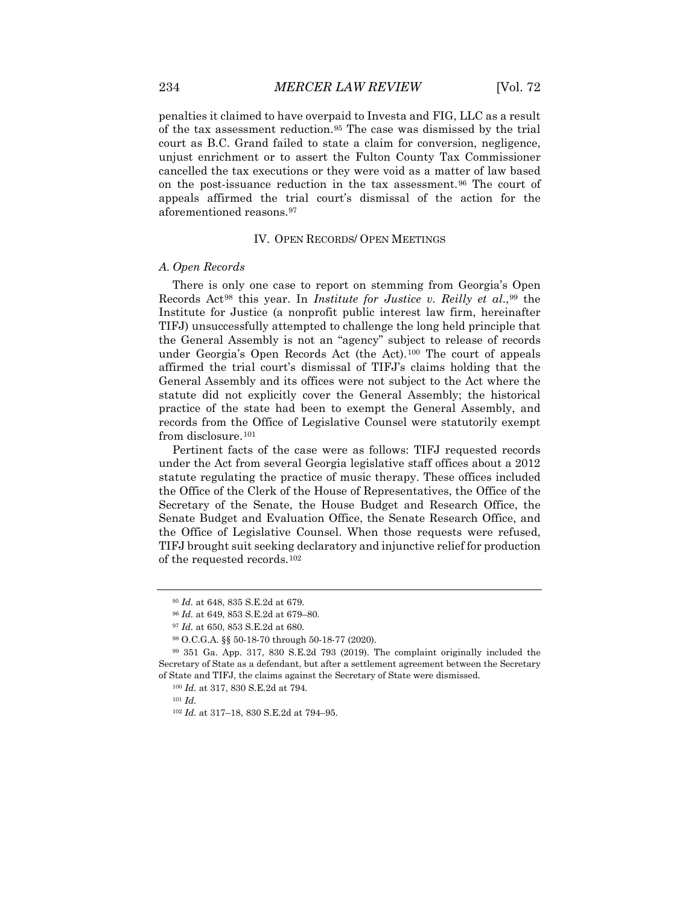penalties it claimed to have overpaid to Investa and FIG, LLC as a result of the tax assessment reduction.[95](#page-13-0) The case was dismissed by the trial court as B.C. Grand failed to state a claim for conversion, negligence, unjust enrichment or to assert the Fulton County Tax Commissioner cancelled the tax executions or they were void as a matter of law based on the post-issuance reduction in the tax assessment.[96](#page-13-1) The court of appeals affirmed the trial court's dismissal of the action for the aforementioned reasons.[97](#page-13-2)

#### IV. OPEN RECORDS/ OPEN MEETINGS

#### *A. Open Records*

There is only one case to report on stemming from Georgia's Open Records Act[98](#page-13-3) this year. In *Institute for Justice v. Reilly et al*.,[99](#page-13-4) the Institute for Justice (a nonprofit public interest law firm, hereinafter TIFJ) unsuccessfully attempted to challenge the long held principle that the General Assembly is not an "agency" subject to release of records under Georgia's Open Records Act (the Act).[100](#page-13-5) The court of appeals affirmed the trial court's dismissal of TIFJ's claims holding that the General Assembly and its offices were not subject to the Act where the statute did not explicitly cover the General Assembly; the historical practice of the state had been to exempt the General Assembly, and records from the Office of Legislative Counsel were statutorily exempt from disclosure.<sup>[101](#page-13-6)</sup>

Pertinent facts of the case were as follows: TIFJ requested records under the Act from several Georgia legislative staff offices about a 2012 statute regulating the practice of music therapy. These offices included the Office of the Clerk of the House of Representatives, the Office of the Secretary of the Senate, the House Budget and Research Office, the Senate Budget and Evaluation Office, the Senate Research Office, and the Office of Legislative Counsel. When those requests were refused, TIFJ brought suit seeking declaratory and injunctive relief for production of the requested records.[102](#page-13-7)

<sup>95</sup> *Id.* at 648, 835 S.E.2d at 679.

<sup>96</sup> *Id.* at 649, 853 S.E.2d at 679–80.

<sup>97</sup> *Id.* at 650, 853 S.E.2d at 680.

<sup>98</sup> O.C.G.A. §§ 50-18-70 through 50-18-77 (2020).

<span id="page-13-7"></span><span id="page-13-6"></span><span id="page-13-5"></span><span id="page-13-4"></span><span id="page-13-3"></span><span id="page-13-2"></span><span id="page-13-1"></span><span id="page-13-0"></span><sup>99</sup> 351 Ga. App. 317, 830 S.E.2d 793 (2019). The complaint originally included the Secretary of State as a defendant, but after a settlement agreement between the Secretary of State and TIFJ, the claims against the Secretary of State were dismissed.

<sup>100</sup> *Id.* at 317, 830 S.E.2d at 794.

<sup>101</sup> *Id.*

<sup>102</sup> *Id.* at 317–18, 830 S.E.2d at 794–95.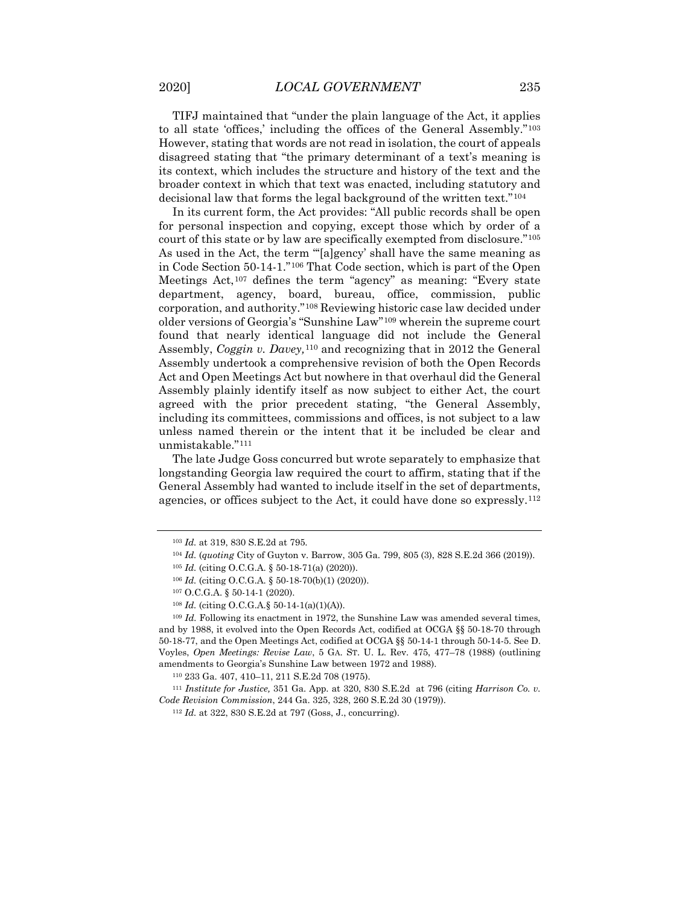TIFJ maintained that "under the plain language of the Act, it applies to all state 'offices,' including the offices of the General Assembly."[103](#page-14-0) However, stating that words are not read in isolation, the court of appeals disagreed stating that "the primary determinant of a text's meaning is its context, which includes the structure and history of the text and the broader context in which that text was enacted, including statutory and decisional law that forms the legal background of the written text."[104](#page-14-1)

In its current form, the Act provides: "All public records shall be open for personal inspection and copying, except those which by order of a court of this state or by law are specifically exempted from disclosure."[105](#page-14-2) As used in the Act, the term "'[a]gency' shall have the same meaning as in Code Section 50-14-1."[106](#page-14-3) That Code section, which is part of the Open Meetings Act,[107](#page-14-4) defines the term "agency" as meaning: "Every state department, agency, board, bureau, office, commission, public corporation, and authority."[108](#page-14-5) Reviewing historic case law decided under older versions of Georgia's "Sunshine Law"[109](#page-14-6) wherein the supreme court found that nearly identical language did not include the General Assembly, *Coggin v. Davey,*[110](#page-14-7) and recognizing that in 2012 the General Assembly undertook a comprehensive revision of both the Open Records Act and Open Meetings Act but nowhere in that overhaul did the General Assembly plainly identify itself as now subject to either Act, the court agreed with the prior precedent stating, "the General Assembly, including its committees, commissions and offices, is not subject to a law unless named therein or the intent that it be included be clear and unmistakable."[111](#page-14-8)

The late Judge Goss concurred but wrote separately to emphasize that longstanding Georgia law required the court to affirm, stating that if the General Assembly had wanted to include itself in the set of departments, agencies, or offices subject to the Act, it could have done so expressly.[112](#page-14-9)

<span id="page-14-0"></span><sup>103</sup> *Id.* at 319, 830 S.E.2d at 795.

<sup>104</sup> *Id.* (*quoting* City of Guyton v. Barrow, 305 Ga. 799, 805 (3), 828 S.E.2d 366 (2019)).

<sup>105</sup> *Id.* (citing O.C.G.A. § 50-18-71(a) (2020)).

<sup>106</sup> *Id.* (citing O.C.G.A. § 50-18-70(b)(1) (2020)).

<sup>107</sup> O.C.G.A. § 50-14-1 (2020).

<sup>108</sup> *Id.* (citing O.C.G.A.§ 50-14-1(a)(1)(A)).

<span id="page-14-6"></span><span id="page-14-5"></span><span id="page-14-4"></span><span id="page-14-3"></span><span id="page-14-2"></span><span id="page-14-1"></span><sup>&</sup>lt;sup>109</sup> *Id.* Following its enactment in 1972, the Sunshine Law was amended several times, and by 1988, it evolved into the Open Records Act, codified at OCGA §§ 50-18-70 through 50-18-77, and the Open Meetings Act, codified at OCGA §§ 50-14-1 through 50-14-5. See D. Voyles, *Open Meetings: Revise Law*, 5 GA. ST. U. L. Rev. 475, 477–78 (1988) (outlining amendments to Georgia's Sunshine Law between 1972 and 1988).

<sup>110</sup> 233 Ga. 407, 410–11, 211 S.E.2d 708 (1975).

<span id="page-14-9"></span><span id="page-14-8"></span><span id="page-14-7"></span><sup>111</sup> *Institute for Justice,* 351 Ga. App. at 320, 830 S.E.2d at 796 (citing *Harrison Co. v. Code Revision Commission*, 244 Ga. 325, 328, 260 S.E.2d 30 (1979)).

<sup>112</sup> *Id.* at 322, 830 S.E.2d at 797 (Goss, J., concurring).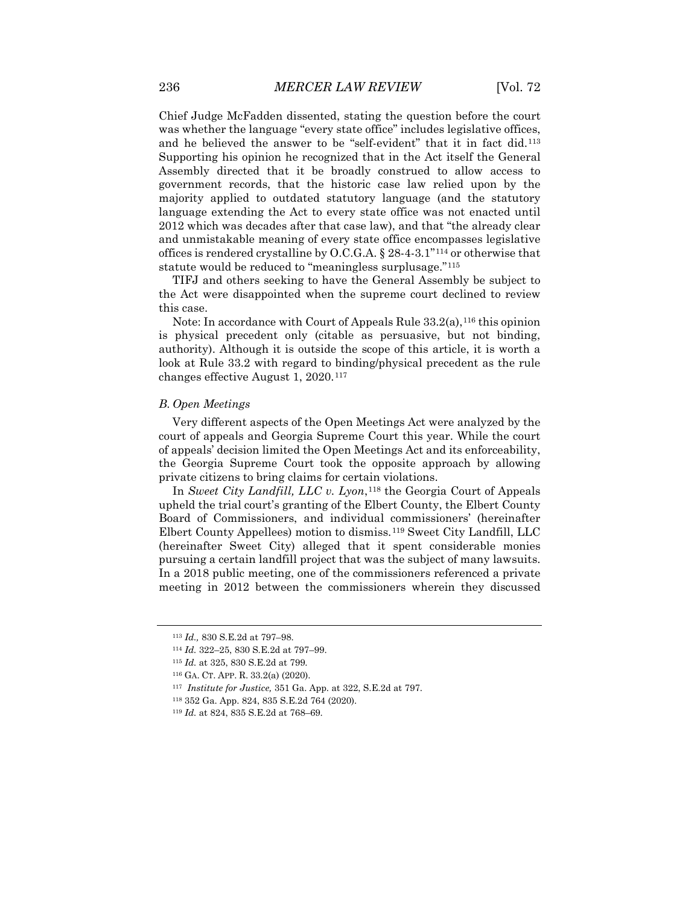Chief Judge McFadden dissented, stating the question before the court was whether the language "every state office" includes legislative offices, and he believed the answer to be "self-evident" that it in fact did.[113](#page-15-0) Supporting his opinion he recognized that in the Act itself the General Assembly directed that it be broadly construed to allow access to government records, that the historic case law relied upon by the majority applied to outdated statutory language (and the statutory language extending the Act to every state office was not enacted until 2012 which was decades after that case law), and that "the already clear and unmistakable meaning of every state office encompasses legislative offices is rendered crystalline by O.C.G.A.  $\S$  28-4-3.1"<sup>[114](#page-15-1)</sup> or otherwise that statute would be reduced to "meaningless surplusage."[115](#page-15-2)

TIFJ and others seeking to have the General Assembly be subject to the Act were disappointed when the supreme court declined to review this case.

Note: In accordance with Court of Appeals Rule  $33.2(a)$ ,  $^{116}$  $^{116}$  $^{116}$  this opinion is physical precedent only (citable as persuasive, but not binding, authority). Although it is outside the scope of this article, it is worth a look at Rule 33.2 with regard to binding/physical precedent as the rule changes effective August 1, 2020.[117](#page-15-4)

#### *B. Open Meetings*

Very different aspects of the Open Meetings Act were analyzed by the court of appeals and Georgia Supreme Court this year. While the court of appeals' decision limited the Open Meetings Act and its enforceability, the Georgia Supreme Court took the opposite approach by allowing private citizens to bring claims for certain violations.

In *Sweet City Landfill, LLC v. Lyon*,[118](#page-15-5) the Georgia Court of Appeals upheld the trial court's granting of the Elbert County, the Elbert County Board of Commissioners, and individual commissioners' (hereinafter Elbert County Appellees) motion to dismiss.[119](#page-15-6) Sweet City Landfill, LLC (hereinafter Sweet City) alleged that it spent considerable monies pursuing a certain landfill project that was the subject of many lawsuits. In a 2018 public meeting, one of the commissioners referenced a private meeting in 2012 between the commissioners wherein they discussed

<span id="page-15-0"></span><sup>113</sup> *Id.,* 830 S.E.2d at 797–98.

<span id="page-15-1"></span><sup>114</sup> *Id.* 322–25, 830 S.E.2d at 797–99.

<span id="page-15-2"></span><sup>115</sup> *Id.* at 325, 830 S.E.2d at 799.

<span id="page-15-3"></span><sup>116</sup> GA. CT. APP. R. 33.2(a) (2020).

<span id="page-15-4"></span><sup>117</sup> *Institute for Justice,* 351 Ga. App. at 322, S.E.2d at 797.

<span id="page-15-5"></span><sup>118</sup> 352 Ga. App. 824, 835 S.E.2d 764 (2020).

<span id="page-15-6"></span><sup>119</sup> *Id.* at 824, 835 S.E.2d at 768–69.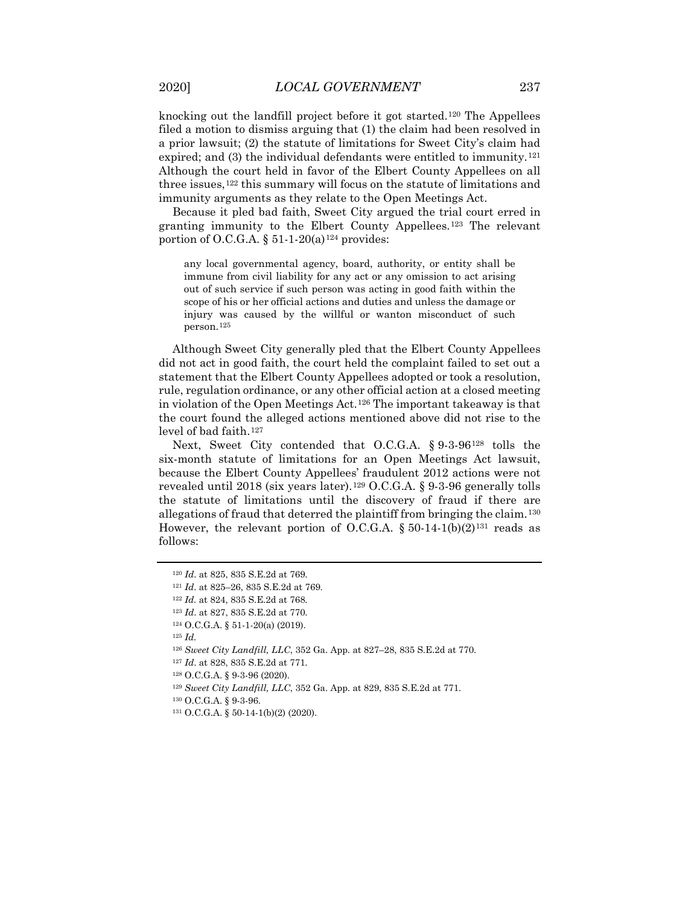knocking out the landfill project before it got started.[120](#page-16-0) The Appellees filed a motion to dismiss arguing that (1) the claim had been resolved in a prior lawsuit; (2) the statute of limitations for Sweet City's claim had expired; and  $(3)$  the individual defendants were entitled to immunity.<sup>[121](#page-16-1)</sup> Although the court held in favor of the Elbert County Appellees on all three issues,<sup>[122](#page-16-2)</sup> this summary will focus on the statute of limitations and immunity arguments as they relate to the Open Meetings Act.

Because it pled bad faith, Sweet City argued the trial court erred in granting immunity to the Elbert County Appellees.[123](#page-16-3) The relevant portion of O.C.G.A.  $\S 51-1-20(a)$ <sup>[124](#page-16-4)</sup> provides:

any local governmental agency, board, authority, or entity shall be immune from civil liability for any act or any omission to act arising out of such service if such person was acting in good faith within the scope of his or her official actions and duties and unless the damage or injury was caused by the willful or wanton misconduct of such person.[125](#page-16-5)

Although Sweet City generally pled that the Elbert County Appellees did not act in good faith, the court held the complaint failed to set out a statement that the Elbert County Appellees adopted or took a resolution, rule, regulation ordinance, or any other official action at a closed meeting in violation of the Open Meetings Act.[126](#page-16-6) The important takeaway is that the court found the alleged actions mentioned above did not rise to the level of bad faith.[127](#page-16-7)

Next, Sweet City contended that O.C.G.A. § 9-3-96[128](#page-16-8) tolls the six-month statute of limitations for an Open Meetings Act lawsuit, because the Elbert County Appellees' fraudulent 2012 actions were not revealed until 2018 (six years later).<sup>[129](#page-16-9)</sup> O.C.G.A. § 9-3-96 generally tolls the statute of limitations until the discovery of fraud if there are allegations of fraud that deterred the plaintiff from bringing the claim.[130](#page-16-10) However, the relevant portion of O.C.G.A.  $\S 50-14-1(b)(2)^{131}$  $\S 50-14-1(b)(2)^{131}$  $\S 50-14-1(b)(2)^{131}$  reads as follows:

<span id="page-16-6"></span><span id="page-16-5"></span><sup>125</sup> *Id.*

<span id="page-16-0"></span><sup>120</sup> *Id*. at 825, 835 S.E.2d at 769.

<span id="page-16-1"></span><sup>121</sup> *Id*. at 825–26, 835 S.E.2d at 769.

<span id="page-16-2"></span><sup>122</sup> *Id.* at 824, 835 S.E.2d at 768.

<span id="page-16-3"></span><sup>123</sup> *Id*. at 827, 835 S.E.2d at 770.

<span id="page-16-4"></span><sup>124</sup> O.C.G.A. § 51-1-20(a) (2019).

<sup>126</sup> *Sweet City Landfill, LLC*, 352 Ga. App. at 827–28, 835 S.E.2d at 770.

<span id="page-16-7"></span><sup>127</sup> *Id*. at 828, 835 S.E.2d at 771.

<sup>128</sup> O.C.G.A. § 9-3-96 (2020).

<span id="page-16-8"></span><sup>129</sup> *Sweet City Landfill, LLC*, 352 Ga. App. at 829, 835 S.E.2d at 771.

<span id="page-16-10"></span><span id="page-16-9"></span><sup>130</sup> O.C.G.A. § 9-3-96.

<span id="page-16-11"></span><sup>131</sup> O.C.G.A. § 50-14-1(b)(2) (2020).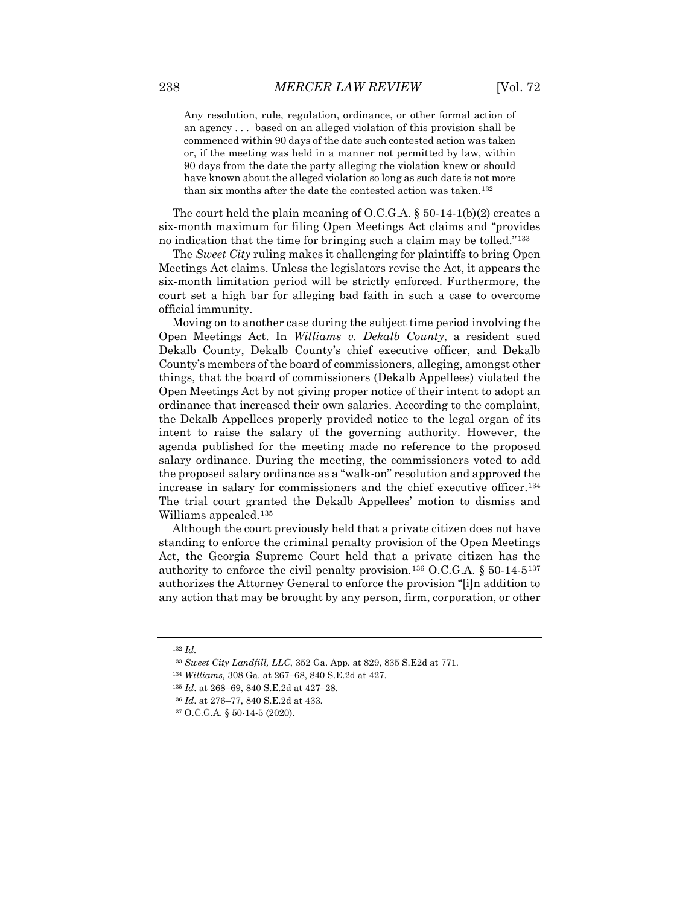Any resolution, rule, regulation, ordinance, or other formal action of an agency . . . based on an alleged violation of this provision shall be commenced within 90 days of the date such contested action was taken or, if the meeting was held in a manner not permitted by law, within 90 days from the date the party alleging the violation knew or should have known about the alleged violation so long as such date is not more than six months after the date the contested action was taken.<sup>[132](#page-17-0)</sup>

The court held the plain meaning of O.C.G.A.  $\S$  50-14-1(b)(2) creates a six-month maximum for filing Open Meetings Act claims and "provides no indication that the time for bringing such a claim may be tolled."[133](#page-17-1)

The *Sweet City* ruling makes it challenging for plaintiffs to bring Open Meetings Act claims. Unless the legislators revise the Act, it appears the six-month limitation period will be strictly enforced. Furthermore, the court set a high bar for alleging bad faith in such a case to overcome official immunity.

Moving on to another case during the subject time period involving the Open Meetings Act. In *Williams v. Dekalb County*, a resident sued Dekalb County, Dekalb County's chief executive officer, and Dekalb County's members of the board of commissioners, alleging, amongst other things, that the board of commissioners (Dekalb Appellees) violated the Open Meetings Act by not giving proper notice of their intent to adopt an ordinance that increased their own salaries. According to the complaint, the Dekalb Appellees properly provided notice to the legal organ of its intent to raise the salary of the governing authority. However, the agenda published for the meeting made no reference to the proposed salary ordinance. During the meeting, the commissioners voted to add the proposed salary ordinance as a "walk-on" resolution and approved the increase in salary for commissioners and the chief executive officer.[134](#page-17-2) The trial court granted the Dekalb Appellees' motion to dismiss and Williams appealed.<sup>[135](#page-17-3)</sup>

Although the court previously held that a private citizen does not have standing to enforce the criminal penalty provision of the Open Meetings Act, the Georgia Supreme Court held that a private citizen has the authority to enforce the civil penalty provision.<sup>[136](#page-17-4)</sup> O.C.G.A.  $\S 50-14-5$ <sup>[137](#page-17-5)</sup> authorizes the Attorney General to enforce the provision "[i]n addition to any action that may be brought by any person, firm, corporation, or other

<span id="page-17-0"></span><sup>132</sup> *Id.*

<span id="page-17-1"></span><sup>133</sup> *Sweet City Landfill, LLC*, 352 Ga. App. at 829, 835 S.E2d at 771.

<span id="page-17-3"></span><span id="page-17-2"></span><sup>134</sup> *Williams,* 308 Ga. at 267–68, 840 S.E.2d at 427.

<sup>135</sup> *Id*. at 268–69, 840 S.E.2d at 427–28.

<span id="page-17-4"></span><sup>136</sup> *Id*. at 276–77, 840 S.E.2d at 433.

<span id="page-17-5"></span><sup>137</sup> O.C.G.A. § 50-14-5 (2020).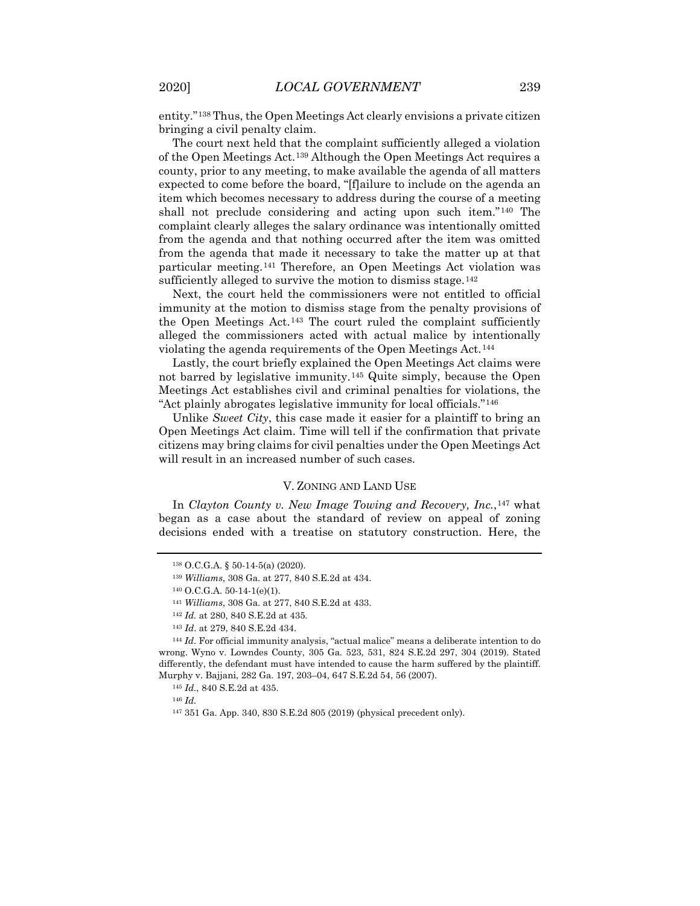entity."[138](#page-18-0) Thus, the Open Meetings Act clearly envisions a private citizen bringing a civil penalty claim.

The court next held that the complaint sufficiently alleged a violation of the Open Meetings Act.[139](#page-18-1) Although the Open Meetings Act requires a county, prior to any meeting, to make available the agenda of all matters expected to come before the board, "[f]ailure to include on the agenda an item which becomes necessary to address during the course of a meeting shall not preclude considering and acting upon such item."[140](#page-18-2) The complaint clearly alleges the salary ordinance was intentionally omitted from the agenda and that nothing occurred after the item was omitted from the agenda that made it necessary to take the matter up at that particular meeting.[141](#page-18-3) Therefore, an Open Meetings Act violation was sufficiently alleged to survive the motion to dismiss stage.<sup>[142](#page-18-4)</sup>

Next, the court held the commissioners were not entitled to official immunity at the motion to dismiss stage from the penalty provisions of the Open Meetings Act.[143](#page-18-5) The court ruled the complaint sufficiently alleged the commissioners acted with actual malice by intentionally violating the agenda requirements of the Open Meetings Act.<sup>[144](#page-18-6)</sup>

Lastly, the court briefly explained the Open Meetings Act claims were not barred by legislative immunity.[145](#page-18-7) Quite simply, because the Open Meetings Act establishes civil and criminal penalties for violations, the "Act plainly abrogates legislative immunity for local officials."[146](#page-18-8)

Unlike *Sweet City*, this case made it easier for a plaintiff to bring an Open Meetings Act claim. Time will tell if the confirmation that private citizens may bring claims for civil penalties under the Open Meetings Act will result in an increased number of such cases.

#### V. ZONING AND LAND USE

<span id="page-18-0"></span>In *Clayton County v. New Image Towing and Recovery, Inc.*,[147](#page-18-9) what began as a case about the standard of review on appeal of zoning decisions ended with a treatise on statutory construction. Here, the

<sup>138</sup> O.C.G.A. § 50-14-5(a) (2020).

<sup>139</sup> *Williams*, 308 Ga. at 277, 840 S.E.2d at 434.

<sup>140</sup> O.C.G.A. 50-14-1(e)(1).

<sup>141</sup> *Williams*, 308 Ga. at 277, 840 S.E.2d at 433.

<sup>142</sup> *Id.* at 280, 840 S.E.2d at 435.

<sup>143</sup> *Id*. at 279, 840 S.E.2d 434.

<span id="page-18-8"></span><span id="page-18-7"></span><span id="page-18-6"></span><span id="page-18-5"></span><span id="page-18-4"></span><span id="page-18-3"></span><span id="page-18-2"></span><span id="page-18-1"></span><sup>144</sup> *Id*. For official immunity analysis, "actual malice" means a deliberate intention to do wrong. Wyno v. Lowndes County, 305 Ga. 523, 531, 824 S.E.2d 297, 304 (2019). Stated differently, the defendant must have intended to cause the harm suffered by the plaintiff. Murphy v. Bajjani, 282 Ga. 197, 203–04, 647 S.E.2d 54, 56 (2007).

<sup>145</sup> *Id.*, 840 S.E.2d at 435.

<span id="page-18-9"></span><sup>146</sup> *Id.*

<sup>147</sup> 351 Ga. App. 340, 830 S.E.2d 805 (2019) (physical precedent only).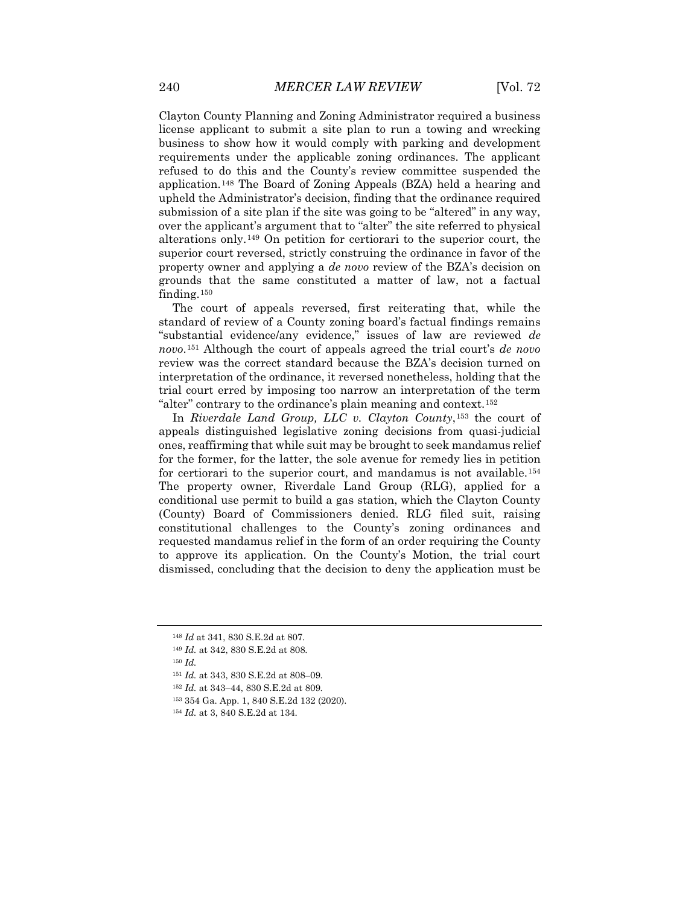Clayton County Planning and Zoning Administrator required a business license applicant to submit a site plan to run a towing and wrecking business to show how it would comply with parking and development requirements under the applicable zoning ordinances. The applicant refused to do this and the County's review committee suspended the application.[148](#page-19-0) The Board of Zoning Appeals (BZA) held a hearing and upheld the Administrator's decision, finding that the ordinance required submission of a site plan if the site was going to be "altered" in any way, over the applicant's argument that to "alter" the site referred to physical alterations only.[149](#page-19-1) On petition for certiorari to the superior court, the superior court reversed, strictly construing the ordinance in favor of the property owner and applying a *de novo* review of the BZA's decision on grounds that the same constituted a matter of law, not a factual finding.[150](#page-19-2)

The court of appeals reversed, first reiterating that, while the standard of review of a County zoning board's factual findings remains "substantial evidence/any evidence," issues of law are reviewed *de novo*.[151](#page-19-3) Although the court of appeals agreed the trial court's *de novo* review was the correct standard because the BZA's decision turned on interpretation of the ordinance, it reversed nonetheless, holding that the trial court erred by imposing too narrow an interpretation of the term "alter" contrary to the ordinance's plain meaning and context.[152](#page-19-4)

In *Riverdale Land Group, LLC v. Clayton County*,[153](#page-19-5) the court of appeals distinguished legislative zoning decisions from quasi-judicial ones, reaffirming that while suit may be brought to seek mandamus relief for the former, for the latter, the sole avenue for remedy lies in petition for certiorari to the superior court, and mandamus is not available.[154](#page-19-6) The property owner, Riverdale Land Group (RLG), applied for a conditional use permit to build a gas station, which the Clayton County (County) Board of Commissioners denied. RLG filed suit, raising constitutional challenges to the County's zoning ordinances and requested mandamus relief in the form of an order requiring the County to approve its application. On the County's Motion, the trial court dismissed, concluding that the decision to deny the application must be

<span id="page-19-3"></span><span id="page-19-2"></span><span id="page-19-1"></span><sup>150</sup> *Id.*

<span id="page-19-0"></span><sup>148</sup> *Id* at 341, 830 S.E.2d at 807*.*

<sup>149</sup> *Id.* at 342, 830 S.E.2d at 808.

<sup>151</sup> *Id.* at 343, 830 S.E.2d at 808–09.

<span id="page-19-4"></span><sup>152</sup> *Id.* at 343–44, 830 S.E.2d at 809.

<span id="page-19-5"></span><sup>153</sup> 354 Ga. App. 1, 840 S.E.2d 132 (2020).

<span id="page-19-6"></span><sup>154</sup> *Id.* at 3, 840 S.E.2d at 134.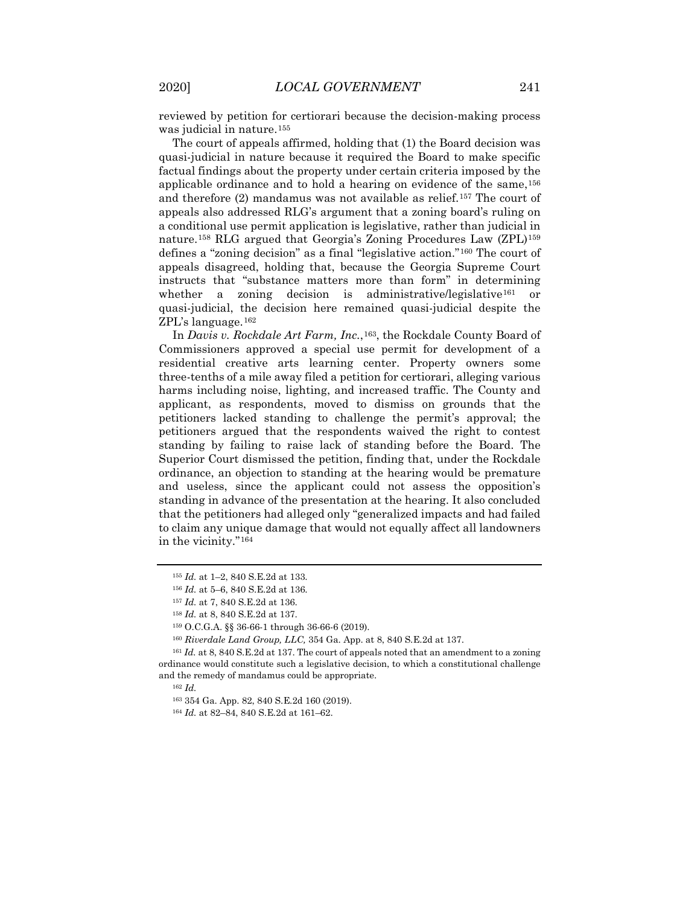reviewed by petition for certiorari because the decision-making process was judicial in nature.<sup>[155](#page-20-0)</sup>

The court of appeals affirmed, holding that (1) the Board decision was quasi-judicial in nature because it required the Board to make specific factual findings about the property under certain criteria imposed by the applicable ordinance and to hold a hearing on evidence of the same,[156](#page-20-1) and therefore (2) mandamus was not available as relief.[157](#page-20-2) The court of appeals also addressed RLG's argument that a zoning board's ruling on a conditional use permit application is legislative, rather than judicial in nature.[158](#page-20-3) RLG argued that Georgia's Zoning Procedures Law (ZPL)[159](#page-20-4) defines a "zoning decision" as a final "legislative action."[160](#page-20-5) The court of appeals disagreed, holding that, because the Georgia Supreme Court instructs that "substance matters more than form" in determining whether a zoning decision is administrative/legislative<sup>[161](#page-20-6)</sup> or quasi-judicial, the decision here remained quasi-judicial despite the ZPL's language.[162](#page-20-7)

In *Davis v. Rockdale Art Farm, Inc.*,[163](#page-20-8), the Rockdale County Board of Commissioners approved a special use permit for development of a residential creative arts learning center. Property owners some three-tenths of a mile away filed a petition for certiorari, alleging various harms including noise, lighting, and increased traffic. The County and applicant, as respondents, moved to dismiss on grounds that the petitioners lacked standing to challenge the permit's approval; the petitioners argued that the respondents waived the right to contest standing by failing to raise lack of standing before the Board. The Superior Court dismissed the petition, finding that, under the Rockdale ordinance, an objection to standing at the hearing would be premature and useless, since the applicant could not assess the opposition's standing in advance of the presentation at the hearing. It also concluded that the petitioners had alleged only "generalized impacts and had failed to claim any unique damage that would not equally affect all landowners in the vicinity."[164](#page-20-9)

<span id="page-20-0"></span><sup>155</sup> *Id.* at 1–2, 840 S.E.2d at 133.

<sup>156</sup> *Id.* at 5–6, 840 S.E.2d at 136.

<sup>157</sup> *Id.* at 7, 840 S.E.2d at 136.

<sup>158</sup> *Id.* at 8, 840 S.E.2d at 137.

<sup>159</sup> O.C.G.A. §§ 36-66-1 through 36-66-6 (2019).

<sup>160</sup> *Riverdale Land Group, LLC,* 354 Ga. App. at 8, 840 S.E.2d at 137.

<span id="page-20-9"></span><span id="page-20-8"></span><span id="page-20-7"></span><span id="page-20-6"></span><span id="page-20-5"></span><span id="page-20-4"></span><span id="page-20-3"></span><span id="page-20-2"></span><span id="page-20-1"></span><sup>161</sup> *Id.* at 8, 840 S.E.2d at 137. The court of appeals noted that an amendment to a zoning ordinance would constitute such a legislative decision, to which a constitutional challenge and the remedy of mandamus could be appropriate.

<sup>162</sup> *Id.*

<sup>163</sup> 354 Ga. App. 82, 840 S.E.2d 160 (2019).

<sup>164</sup> *Id.* at 82–84, 840 S.E.2d at 161–62.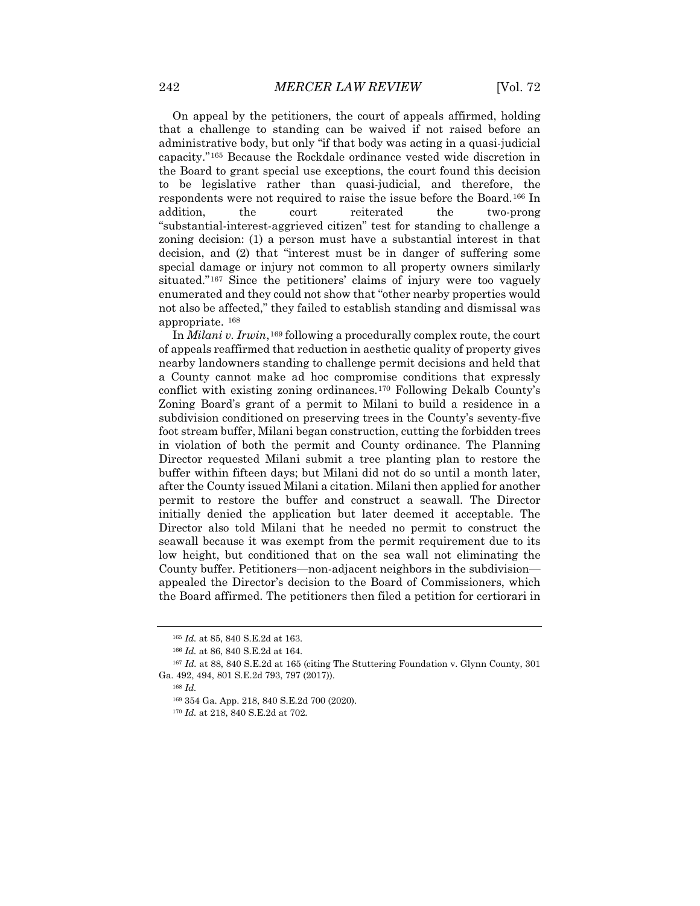On appeal by the petitioners, the court of appeals affirmed, holding that a challenge to standing can be waived if not raised before an administrative body, but only "if that body was acting in a quasi-judicial capacity."[165](#page-21-0) Because the Rockdale ordinance vested wide discretion in the Board to grant special use exceptions, the court found this decision to be legislative rather than quasi-judicial, and therefore, the respondents were not required to raise the issue before the Board.[166](#page-21-1) In addition, the court reiterated the two-prong "substantial-interest-aggrieved citizen" test for standing to challenge a zoning decision: (1) a person must have a substantial interest in that decision, and (2) that "interest must be in danger of suffering some special damage or injury not common to all property owners similarly situated."[167](#page-21-2) Since the petitioners' claims of injury were too vaguely enumerated and they could not show that "other nearby properties would not also be affected," they failed to establish standing and dismissal was appropriate. [168](#page-21-3)

In *Milani v. Irwin*,<sup>[169](#page-21-4)</sup> following a procedurally complex route, the court of appeals reaffirmed that reduction in aesthetic quality of property gives nearby landowners standing to challenge permit decisions and held that a County cannot make ad hoc compromise conditions that expressly conflict with existing zoning ordinances.[170](#page-21-5) Following Dekalb County's Zoning Board's grant of a permit to Milani to build a residence in a subdivision conditioned on preserving trees in the County's seventy-five foot stream buffer, Milani began construction, cutting the forbidden trees in violation of both the permit and County ordinance. The Planning Director requested Milani submit a tree planting plan to restore the buffer within fifteen days; but Milani did not do so until a month later, after the County issued Milani a citation. Milani then applied for another permit to restore the buffer and construct a seawall. The Director initially denied the application but later deemed it acceptable. The Director also told Milani that he needed no permit to construct the seawall because it was exempt from the permit requirement due to its low height, but conditioned that on the sea wall not eliminating the County buffer. Petitioners—non-adjacent neighbors in the subdivision appealed the Director's decision to the Board of Commissioners, which the Board affirmed. The petitioners then filed a petition for certiorari in

<sup>168</sup> *Id.* 

<sup>165</sup> *Id.* at 85, 840 S.E.2d at 163.

<sup>166</sup> *Id.* at 86, 840 S.E.2d at 164.

<span id="page-21-5"></span><span id="page-21-4"></span><span id="page-21-3"></span><span id="page-21-2"></span><span id="page-21-1"></span><span id="page-21-0"></span><sup>167</sup> *Id.* at 88, 840 S.E.2d at 165 (citing The Stuttering Foundation v. Glynn County, 301 Ga. 492, 494, 801 S.E.2d 793, 797 (2017)).

<sup>169</sup> 354 Ga. App. 218, 840 S.E.2d 700 (2020).

<sup>170</sup> *Id.* at 218, 840 S.E.2d at 702.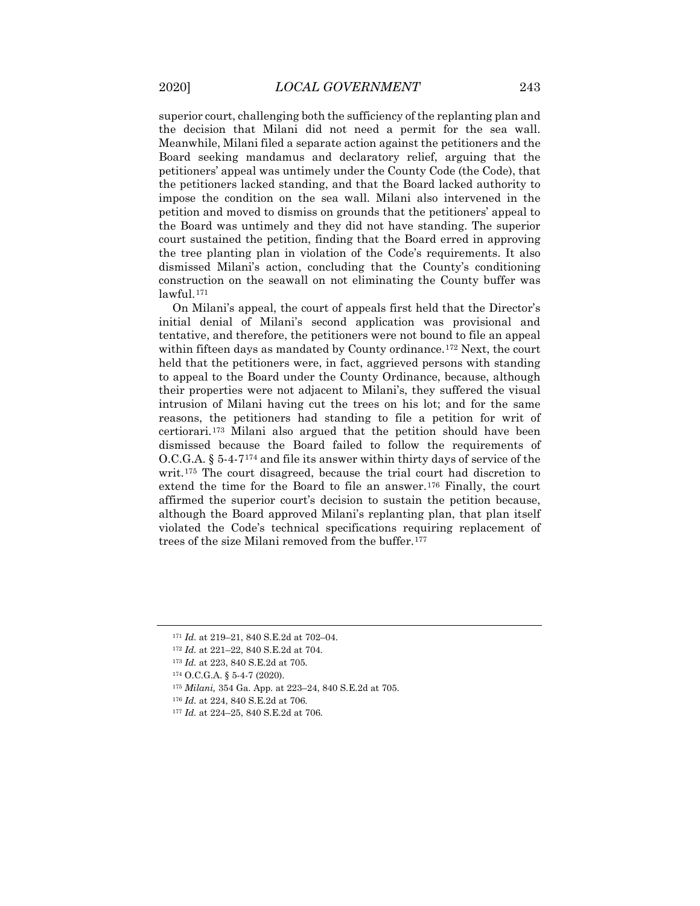superior court, challenging both the sufficiency of the replanting plan and the decision that Milani did not need a permit for the sea wall. Meanwhile, Milani filed a separate action against the petitioners and the Board seeking mandamus and declaratory relief, arguing that the petitioners' appeal was untimely under the County Code (the Code), that the petitioners lacked standing, and that the Board lacked authority to impose the condition on the sea wall. Milani also intervened in the petition and moved to dismiss on grounds that the petitioners' appeal to the Board was untimely and they did not have standing. The superior court sustained the petition, finding that the Board erred in approving the tree planting plan in violation of the Code's requirements. It also dismissed Milani's action, concluding that the County's conditioning construction on the seawall on not eliminating the County buffer was lawful.[171](#page-22-0)

On Milani's appeal, the court of appeals first held that the Director's initial denial of Milani's second application was provisional and tentative, and therefore, the petitioners were not bound to file an appeal within fifteen days as mandated by County ordinance.<sup>[172](#page-22-1)</sup> Next, the court held that the petitioners were, in fact, aggrieved persons with standing to appeal to the Board under the County Ordinance, because, although their properties were not adjacent to Milani's, they suffered the visual intrusion of Milani having cut the trees on his lot; and for the same reasons, the petitioners had standing to file a petition for writ of certiorari.[173](#page-22-2) Milani also argued that the petition should have been dismissed because the Board failed to follow the requirements of O.C.G.A. § 5-4-7[174](#page-22-3) and file its answer within thirty days of service of the writ.[175](#page-22-4) The court disagreed, because the trial court had discretion to extend the time for the Board to file an answer.<sup>[176](#page-22-5)</sup> Finally, the court affirmed the superior court's decision to sustain the petition because, although the Board approved Milani's replanting plan, that plan itself violated the Code's technical specifications requiring replacement of trees of the size Milani removed from the buffer.<sup>[177](#page-22-6)</sup>

<span id="page-22-0"></span><sup>171</sup> *Id.* at 219–21, 840 S.E.2d at 702–04.

<span id="page-22-1"></span><sup>172</sup> *Id.* at 221–22, 840 S.E.2d at 704.

<span id="page-22-2"></span><sup>173</sup> *Id.* at 223, 840 S.E.2d at 705.

<span id="page-22-3"></span><sup>174</sup> O.C.G.A. § 5-4-7 (2020).

<span id="page-22-4"></span><sup>175</sup> *Milani,* 354 Ga. App. at 223–24, 840 S.E.2d at 705.

<span id="page-22-5"></span><sup>176</sup> *Id.* at 224, 840 S.E.2d at 706.

<span id="page-22-6"></span><sup>177</sup> *Id.* at 224–25, 840 S.E.2d at 706.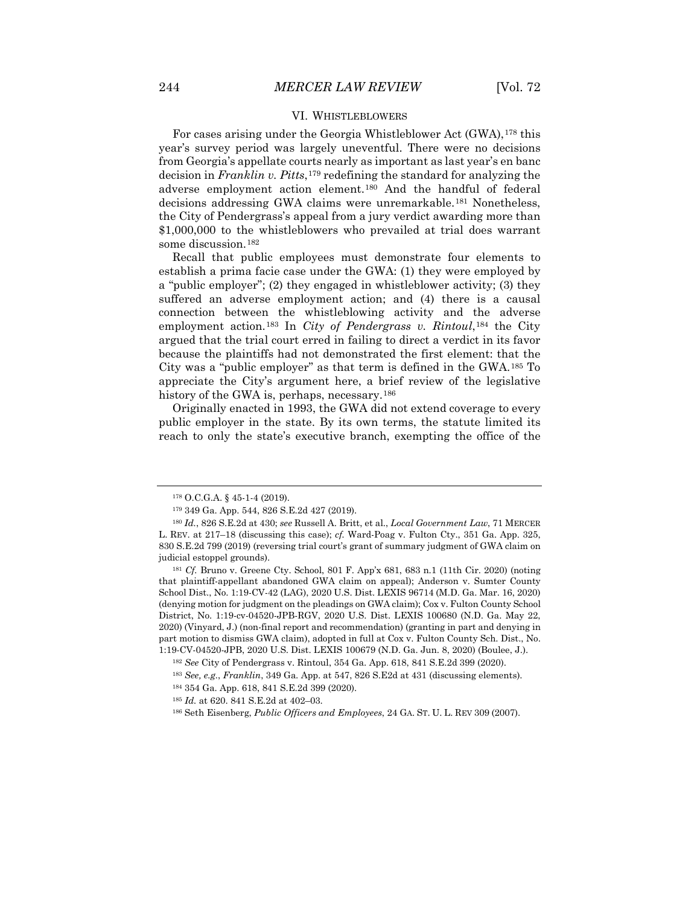#### VI. WHISTLEBLOWERS

For cases arising under the Georgia Whistleblower Act (GWA),<sup>[178](#page-23-0)</sup> this year's survey period was largely uneventful. There were no decisions from Georgia's appellate courts nearly as important as last year's en banc decision in *Franklin v. Pitts*,[179](#page-23-1) redefining the standard for analyzing the adverse employment action element.[180](#page-23-2) And the handful of federal decisions addressing GWA claims were unremarkable.[181](#page-23-3) Nonetheless, the City of Pendergrass's appeal from a jury verdict awarding more than \$1,000,000 to the whistleblowers who prevailed at trial does warrant some discussion.[182](#page-23-4)

Recall that public employees must demonstrate four elements to establish a prima facie case under the GWA: (1) they were employed by a "public employer"; (2) they engaged in whistleblower activity; (3) they suffered an adverse employment action; and (4) there is a causal connection between the whistleblowing activity and the adverse employment action.[183](#page-23-5) In *City of Pendergrass v. Rintoul*,[184](#page-23-6) the City argued that the trial court erred in failing to direct a verdict in its favor because the plaintiffs had not demonstrated the first element: that the City was a "public employer" as that term is defined in the GWA.[185](#page-23-7) To appreciate the City's argument here, a brief review of the legislative history of the GWA is, perhaps, necessary.<sup>[186](#page-23-8)</sup>

Originally enacted in 1993, the GWA did not extend coverage to every public employer in the state. By its own terms, the statute limited its reach to only the state's executive branch, exempting the office of the

<sup>178</sup> O.C.G.A. § 45-1-4 (2019).

<sup>179</sup> 349 Ga. App. 544, 826 S.E.2d 427 (2019).

<span id="page-23-2"></span><span id="page-23-1"></span><span id="page-23-0"></span><sup>180</sup> *Id.*, 826 S.E.2d at 430; *see* Russell A. Britt, et al., *Local Government Law*, 71 MERCER L. REV. at 217–18 (discussing this case); *cf.* Ward-Poag v. Fulton Cty., 351 Ga. App. 325, 830 S.E.2d 799 (2019) (reversing trial court's grant of summary judgment of GWA claim on judicial estoppel grounds).

<span id="page-23-3"></span><sup>181</sup> *Cf.* Bruno v. Greene Cty. School, 801 F. App'x 681, 683 n.1 (11th Cir. 2020) (noting that plaintiff-appellant abandoned GWA claim on appeal); Anderson v. Sumter County School Dist., No. 1:19-CV-42 (LAG), 2020 U.S. Dist. LEXIS 96714 (M.D. Ga. Mar. 16, 2020) (denying motion for judgment on the pleadings on GWA claim); Cox v. Fulton County School District, No. 1:19-cv-04520-JPB-RGV, 2020 U.S. Dist. LEXIS 100680 (N.D. Ga. May 22, 2020) (Vinyard, J.) (non-final report and recommendation) (granting in part and denying in part motion to dismiss GWA claim), adopted in full at Cox v. Fulton County Sch. Dist., No. 1:19-CV-04520-JPB, 2020 U.S. Dist. LEXIS 100679 (N.D. Ga. Jun. 8, 2020) (Boulee, J.).

<span id="page-23-4"></span><sup>182</sup> *See* City of Pendergrass v. Rintoul, 354 Ga. App. 618, 841 S.E.2d 399 (2020).

<span id="page-23-5"></span><sup>183</sup> *See, e.g.*, *Franklin*, 349 Ga. App. at 547, 826 S.E2d at 431 (discussing elements).

<span id="page-23-6"></span><sup>184</sup> 354 Ga. App. 618, 841 S.E.2d 399 (2020).

<span id="page-23-7"></span><sup>185</sup> *Id.* at 620. 841 S.E.2d at 402–03.

<span id="page-23-8"></span><sup>186</sup> Seth Eisenberg, *Public Officers and Employees*, 24 GA. ST. U. L. REV 309 (2007).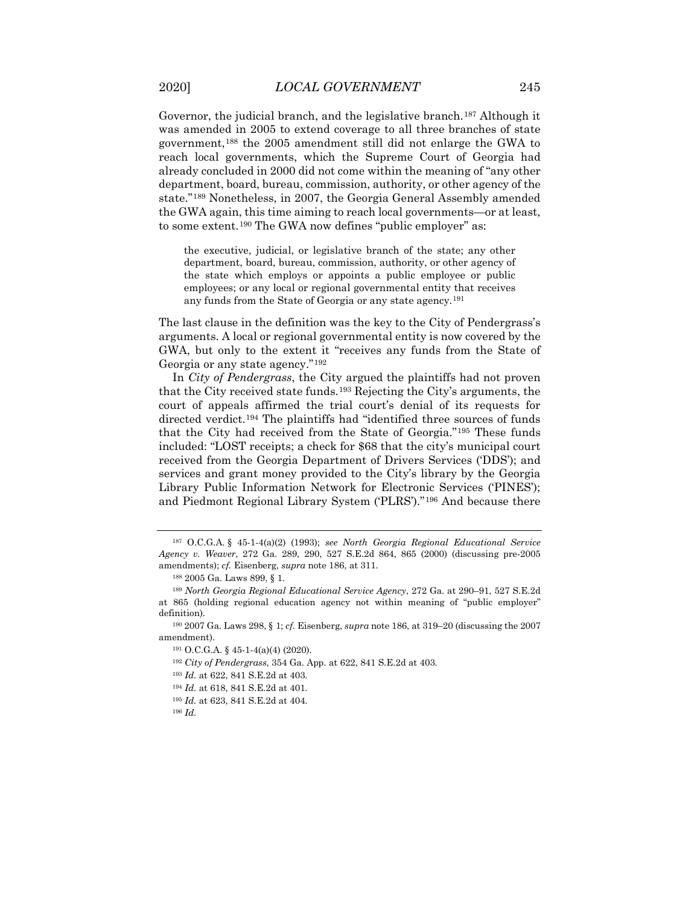Governor, the judicial branch, and the legislative branch.<sup>[187](#page-24-0)</sup> Although it was amended in 2005 to extend coverage to all three branches of state government,[188](#page-24-1) the 2005 amendment still did not enlarge the GWA to reach local governments, which the Supreme Court of Georgia had already concluded in 2000 did not come within the meaning of "any other department, board, bureau, commission, authority, or other agency of the state."[189](#page-24-2) Nonetheless, in 2007, the Georgia General Assembly amended the GWA again, this time aiming to reach local governments—or at least, to some extent.[190](#page-24-3) The GWA now defines "public employer" as:

the executive, judicial, or legislative branch of the state; any other department, board, bureau, commission, authority, or other agency of the state which employs or appoints a public employee or public employees; or any local or regional governmental entity that receives any funds from the State of Georgia or any state agency.[191](#page-24-4)

The last clause in the definition was the key to the City of Pendergrass's arguments. A local or regional governmental entity is now covered by the GWA, but only to the extent it "receives any funds from the State of Georgia or any state agency."[192](#page-24-5)

In *City of Pendergrass*, the City argued the plaintiffs had not proven that the City received state funds.[193](#page-24-6) Rejecting the City's arguments, the court of appeals affirmed the trial court's denial of its requests for directed verdict.[194](#page-24-7) The plaintiffs had "identified three sources of funds that the City had received from the State of Georgia."[195](#page-24-8) These funds included: "LOST receipts; a check for \$68 that the city's municipal court received from the Georgia Department of Drivers Services ('DDS'); and services and grant money provided to the City's library by the Georgia Library Public Information Network for Electronic Services ('PINES'); and Piedmont Regional Library System ('PLRS')."[196](#page-24-9) And because there

<sup>192</sup> *City of Pendergrass*, 354 Ga. App. at 622, 841 S.E.2d at 403.

<span id="page-24-0"></span><sup>187</sup> O.C.G.A. § 45-1-4(a)(2) (1993); *see North Georgia Regional Educational Service Agency v. Weaver*, 272 Ga. 289, 290, 527 S.E.2d 864, 865 (2000) (discussing pre-2005 amendments); *cf.* Eisenberg, *supra* note 186, at 311.

<sup>188</sup> 2005 Ga. Laws 899, § 1.

<span id="page-24-2"></span><span id="page-24-1"></span><sup>189</sup> *North Georgia Regional Educational Service Agency*, 272 Ga. at 290–91, 527 S.E.2d at 865 (holding regional education agency not within meaning of "public employer" definition).

<span id="page-24-7"></span><span id="page-24-6"></span><span id="page-24-5"></span><span id="page-24-4"></span><span id="page-24-3"></span><sup>190</sup> 2007 Ga. Laws 298, § 1; *cf.* Eisenberg, *supra* note 186, at 319–20 (discussing the 2007 amendment).

<sup>191</sup> O.C.G.A. § 45-1-4(a)(4) (2020).

<sup>193</sup> *Id.* at 622, 841 S.E.2d at 403.

<span id="page-24-8"></span><sup>194</sup> *Id.* at 618, 841 S.E.2d at 401.

<sup>195</sup> *Id.* at 623, 841 S.E.2d at 404.

<span id="page-24-9"></span><sup>196</sup> *Id.*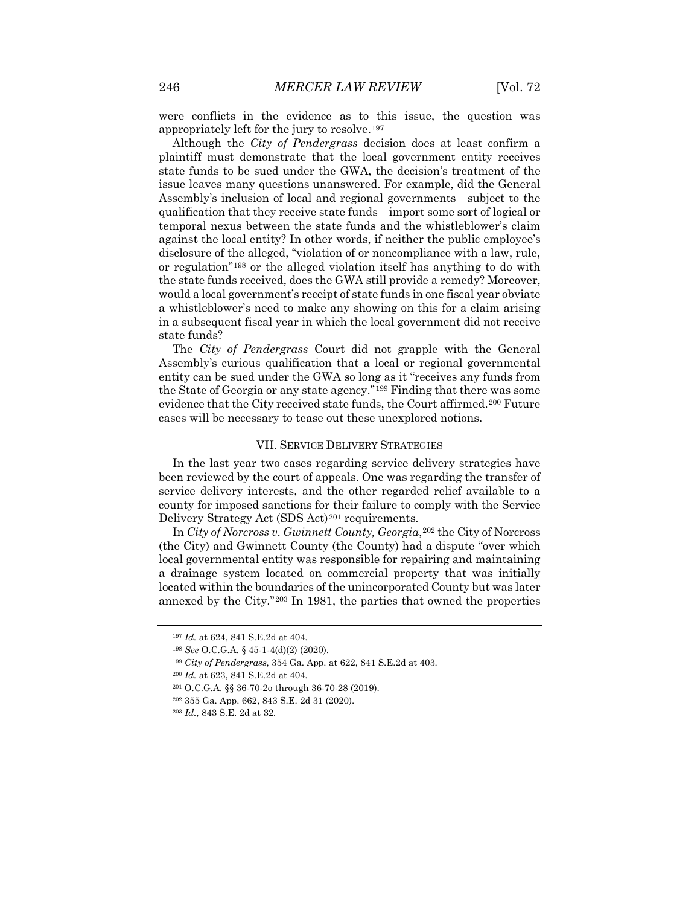were conflicts in the evidence as to this issue, the question was appropriately left for the jury to resolve.[197](#page-25-0)

Although the *City of Pendergrass* decision does at least confirm a plaintiff must demonstrate that the local government entity receives state funds to be sued under the GWA, the decision's treatment of the issue leaves many questions unanswered. For example, did the General Assembly's inclusion of local and regional governments—subject to the qualification that they receive state funds—import some sort of logical or temporal nexus between the state funds and the whistleblower's claim against the local entity? In other words, if neither the public employee's disclosure of the alleged, "violation of or noncompliance with a law, rule, or regulation"[198](#page-25-1) or the alleged violation itself has anything to do with the state funds received, does the GWA still provide a remedy? Moreover, would a local government's receipt of state funds in one fiscal year obviate a whistleblower's need to make any showing on this for a claim arising in a subsequent fiscal year in which the local government did not receive state funds?

The *City of Pendergrass* Court did not grapple with the General Assembly's curious qualification that a local or regional governmental entity can be sued under the GWA so long as it "receives any funds from the State of Georgia or any state agency."[199](#page-25-2) Finding that there was some evidence that the City received state funds, the Court affirmed.<sup>[200](#page-25-3)</sup> Future cases will be necessary to tease out these unexplored notions.

#### VII. SERVICE DELIVERY STRATEGIES

In the last year two cases regarding service delivery strategies have been reviewed by the court of appeals. One was regarding the transfer of service delivery interests, and the other regarded relief available to a county for imposed sanctions for their failure to comply with the Service Delivery Strategy Act (SDS Act)<sup>[201](#page-25-4)</sup> requirements.

In *City of Norcross v. Gwinnett County, Georgia*,[202](#page-25-5) the City of Norcross (the City) and Gwinnett County (the County) had a dispute "over which local governmental entity was responsible for repairing and maintaining a drainage system located on commercial property that was initially located within the boundaries of the unincorporated County but was later annexed by the City."[203](#page-25-6) In 1981, the parties that owned the properties

<span id="page-25-0"></span><sup>197</sup> *Id.* at 624, 841 S.E.2d at 404.

<span id="page-25-1"></span><sup>198</sup> *See* O.C.G.A. § 45-1-4(d)(2) (2020).

<sup>199</sup> *City of Pendergrass*, 354 Ga. App. at 622, 841 S.E.2d at 403.

<span id="page-25-3"></span><span id="page-25-2"></span><sup>200</sup> *Id.* at 623, 841 S.E.2d at 404.

<span id="page-25-5"></span><span id="page-25-4"></span><sup>201</sup> O.C.G.A. §§ 36-70-2o through 36-70-28 (2019).

<sup>202</sup> 355 Ga. App. 662, 843 S.E. 2d 31 (2020).

<span id="page-25-6"></span><sup>203</sup> *Id.*, 843 S.E. 2d at 32*.*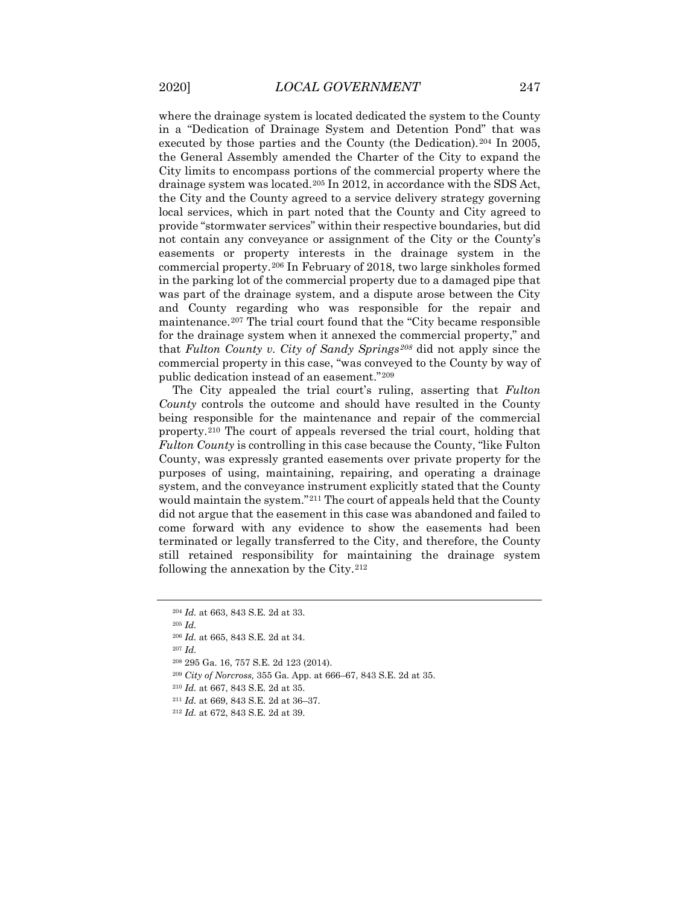where the drainage system is located dedicated the system to the County in a "Dedication of Drainage System and Detention Pond" that was executed by those parties and the County (the Dedication).[204](#page-26-0) In 2005, the General Assembly amended the Charter of the City to expand the City limits to encompass portions of the commercial property where the drainage system was located[.205](#page-26-1) In 2012, in accordance with the SDS Act, the City and the County agreed to a service delivery strategy governing local services, which in part noted that the County and City agreed to provide "stormwater services" within their respective boundaries, but did not contain any conveyance or assignment of the City or the County's easements or property interests in the drainage system in the commercial property.[206](#page-26-2) In February of 2018, two large sinkholes formed in the parking lot of the commercial property due to a damaged pipe that was part of the drainage system, and a dispute arose between the City and County regarding who was responsible for the repair and maintenance.[207](#page-26-3) The trial court found that the "City became responsible for the drainage system when it annexed the commercial property," and that *Fulton County v. City of Sandy Springs[208](#page-26-4)* did not apply since the commercial property in this case, "was conveyed to the County by way of public dedication instead of an easement."[209](#page-26-5)

The City appealed the trial court's ruling, asserting that *Fulton County* controls the outcome and should have resulted in the County being responsible for the maintenance and repair of the commercial property.[210](#page-26-6) The court of appeals reversed the trial court, holding that *Fulton County* is controlling in this case because the County, "like Fulton County, was expressly granted easements over private property for the purposes of using, maintaining, repairing, and operating a drainage system, and the conveyance instrument explicitly stated that the County would maintain the system."[211](#page-26-7) The court of appeals held that the County did not argue that the easement in this case was abandoned and failed to come forward with any evidence to show the easements had been terminated or legally transferred to the City, and therefore, the County still retained responsibility for maintaining the drainage system following the annexation by the City.<sup>[212](#page-26-8)</sup>

<span id="page-26-0"></span><sup>204</sup> *Id.* at 663, 843 S.E. 2d at 33.

<span id="page-26-1"></span><sup>205</sup> *Id.*

<span id="page-26-2"></span><sup>206</sup> *Id.* at 665, 843 S.E. 2d at 34.

<span id="page-26-3"></span><sup>207</sup> *Id.*

<span id="page-26-4"></span><sup>208</sup> 295 Ga. 16, 757 S.E. 2d 123 (2014).

<span id="page-26-5"></span><sup>209</sup> *City of Norcross,* 355 Ga. App. at 666–67, 843 S.E. 2d at 35.

<span id="page-26-6"></span><sup>210</sup> *Id.* at 667, 843 S.E. 2d at 35.

<span id="page-26-7"></span><sup>211</sup> *Id.* at 669, 843 S.E. 2d at 36–37.

<span id="page-26-8"></span><sup>212</sup> *Id.* at 672, 843 S.E. 2d at 39.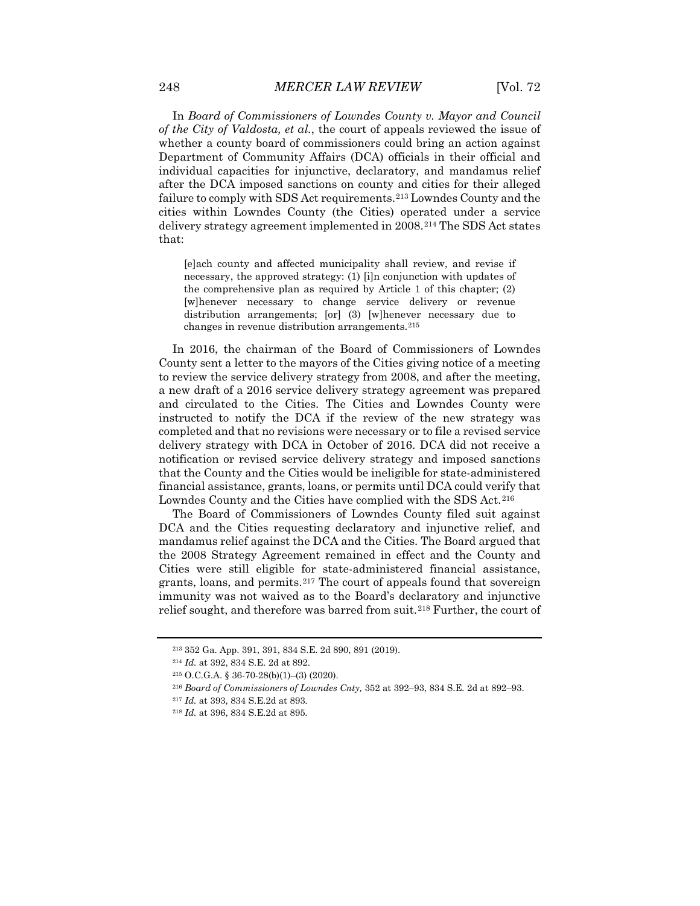In *Board of Commissioners of Lowndes County v. Mayor and Council of the City of Valdosta, et al.*, the court of appeals reviewed the issue of whether a county board of commissioners could bring an action against Department of Community Affairs (DCA) officials in their official and individual capacities for injunctive, declaratory, and mandamus relief after the DCA imposed sanctions on county and cities for their alleged failure to comply with SDS Act requirements.[213](#page-27-0) Lowndes County and the cities within Lowndes County (the Cities) operated under a service delivery strategy agreement implemented in 2008.[214](#page-27-1) The SDS Act states that:

[e]ach county and affected municipality shall review, and revise if necessary, the approved strategy: (1) [i]n conjunction with updates of the comprehensive plan as required by Article 1 of this chapter; (2) [w]henever necessary to change service delivery or revenue distribution arrangements; [or] (3) [w]henever necessary due to changes in revenue distribution arrangements.<sup>[215](#page-27-2)</sup>

In 2016, the chairman of the Board of Commissioners of Lowndes County sent a letter to the mayors of the Cities giving notice of a meeting to review the service delivery strategy from 2008, and after the meeting, a new draft of a 2016 service delivery strategy agreement was prepared and circulated to the Cities. The Cities and Lowndes County were instructed to notify the DCA if the review of the new strategy was completed and that no revisions were necessary or to file a revised service delivery strategy with DCA in October of 2016. DCA did not receive a notification or revised service delivery strategy and imposed sanctions that the County and the Cities would be ineligible for state-administered financial assistance, grants, loans, or permits until DCA could verify that Lowndes County and the Cities have complied with the SDS Act.<sup>[216](#page-27-3)</sup>

The Board of Commissioners of Lowndes County filed suit against DCA and the Cities requesting declaratory and injunctive relief, and mandamus relief against the DCA and the Cities. The Board argued that the 2008 Strategy Agreement remained in effect and the County and Cities were still eligible for state-administered financial assistance, grants, loans, and permits.[217](#page-27-4) The court of appeals found that sovereign immunity was not waived as to the Board's declaratory and injunctive relief sought, and therefore was barred from suit.<sup>[218](#page-27-5)</sup> Further, the court of

<span id="page-27-0"></span><sup>213</sup> 352 Ga. App. 391, 391, 834 S.E. 2d 890, 891 (2019).

<span id="page-27-1"></span><sup>214</sup> *Id.* at 392, 834 S.E. 2d at 892.

<span id="page-27-2"></span><sup>215</sup> O.C.G.A. § 36-70-28(b)(1)–(3) (2020).

<span id="page-27-3"></span><sup>216</sup> *Board of Commissioners of Lowndes Cnty,* 352 at 392–93, 834 S.E. 2d at 892–93.

<span id="page-27-4"></span><sup>217</sup> *Id.* at 393, 834 S.E.2d at 893.

<span id="page-27-5"></span><sup>218</sup> *Id.* at 396, 834 S.E.2d at 895.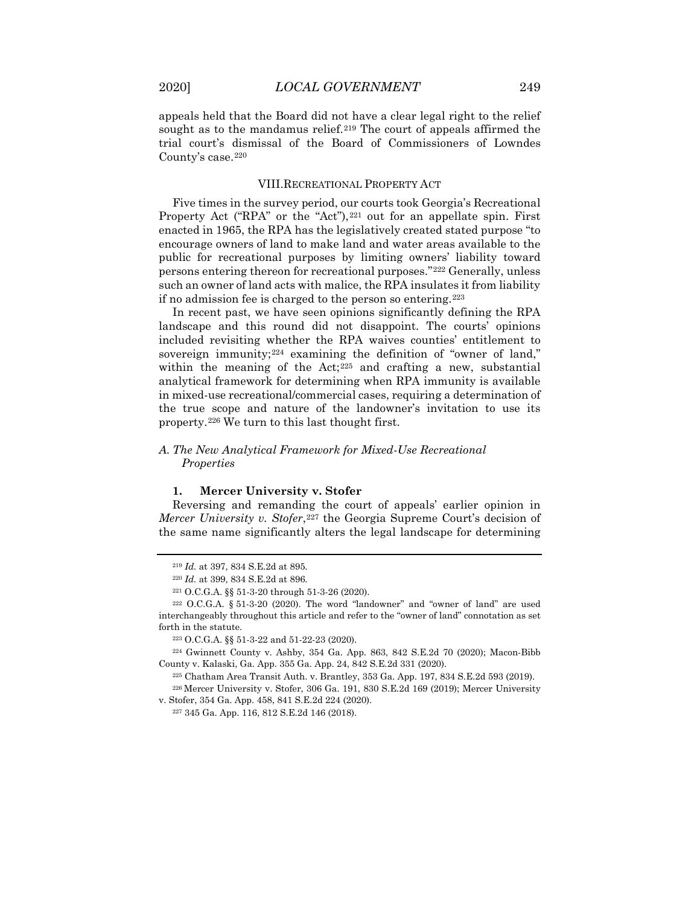appeals held that the Board did not have a clear legal right to the relief sought as to the mandamus relief.<sup>[219](#page-28-0)</sup> The court of appeals affirmed the trial court's dismissal of the Board of Commissioners of Lowndes County's case.<sup>[220](#page-28-1)</sup>

#### VIII.RECREATIONAL PROPERTY ACT

Five times in the survey period, our courts took Georgia's Recreational Property Act ("RPA" or the "Act"), $221$  out for an appellate spin. First enacted in 1965, the RPA has the legislatively created stated purpose "to encourage owners of land to make land and water areas available to the public for recreational purposes by limiting owners' liability toward persons entering thereon for recreational purposes."[222](#page-28-3) Generally, unless such an owner of land acts with malice, the RPA insulates it from liability if no admission fee is charged to the person so entering.[223](#page-28-4)

In recent past, we have seen opinions significantly defining the RPA landscape and this round did not disappoint. The courts' opinions included revisiting whether the RPA waives counties' entitlement to sovereign immunity;<sup>[224](#page-28-5)</sup> examining the definition of "owner of land," within the meaning of the Act; $225$  and crafting a new, substantial analytical framework for determining when RPA immunity is available in mixed-use recreational/commercial cases, requiring a determination of the true scope and nature of the landowner's invitation to use its property.[226](#page-28-7) We turn to this last thought first.

#### *A. The New Analytical Framework for Mixed-Use Recreational Properties*

#### **1. Mercer University v. Stofer**

Reversing and remanding the court of appeals' earlier opinion in *Mercer University v. Stofer*, <sup>[227](#page-28-8)</sup> the Georgia Supreme Court's decision of the same name significantly alters the legal landscape for determining

<sup>219</sup> *Id.* at 397, 834 S.E.2d at 895.

<sup>220</sup> *Id.* at 399, 834 S.E.2d at 896.

<sup>221</sup> O.C.G.A. §§ 51-3-20 through 51-3-26 (2020).

<span id="page-28-3"></span><span id="page-28-2"></span><span id="page-28-1"></span><span id="page-28-0"></span> $222$  O.C.G.A. § 51-3-20 (2020). The word "landowner" and "owner of land" are used interchangeably throughout this article and refer to the "owner of land" connotation as set forth in the statute.

<sup>223</sup> O.C.G.A. §§ 51-3-22 and 51-22-23 (2020).

<span id="page-28-6"></span><span id="page-28-5"></span><span id="page-28-4"></span><sup>224</sup> Gwinnett County v. Ashby, 354 Ga. App. 863, 842 S.E.2d 70 (2020); Macon-Bibb County v. Kalaski, Ga. App. 355 Ga. App. 24, 842 S.E.2d 331 (2020).

<sup>225</sup> Chatham Area Transit Auth. v. Brantley, 353 Ga. App. 197, 834 S.E.2d 593 (2019). <sup>226</sup> Mercer University v. Stofer, 306 Ga. 191, 830 S.E.2d 169 (2019); Mercer University

<span id="page-28-8"></span><span id="page-28-7"></span>v. Stofer, 354 Ga. App. 458, 841 S.E.2d 224 (2020).

<sup>227</sup> 345 Ga. App. 116, 812 S.E.2d 146 (2018).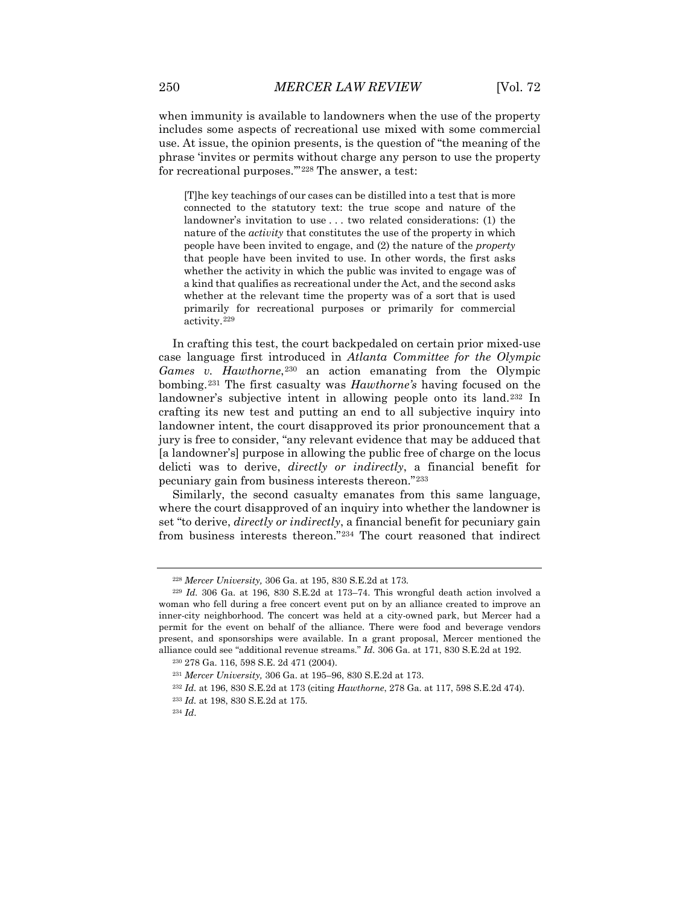when immunity is available to landowners when the use of the property includes some aspects of recreational use mixed with some commercial use. At issue, the opinion presents, is the question of "the meaning of the phrase 'invites or permits without charge any person to use the property for recreational purposes.'"[228](#page-29-0) The answer, a test:

[T]he key teachings of our cases can be distilled into a test that is more connected to the statutory text: the true scope and nature of the landowner's invitation to use . . . two related considerations: (1) the nature of the *activity* that constitutes the use of the property in which people have been invited to engage, and (2) the nature of the *property* that people have been invited to use. In other words, the first asks whether the activity in which the public was invited to engage was of a kind that qualifies as recreational under the Act, and the second asks whether at the relevant time the property was of a sort that is used primarily for recreational purposes or primarily for commercial activity.[229](#page-29-1)

In crafting this test, the court backpedaled on certain prior mixed-use case language first introduced in *Atlanta Committee for the Olympic Games v. Hawthorne*<sup>[230](#page-29-2)</sup> an action emanating from the Olympic bombing.[231](#page-29-3) The first casualty was *Hawthorne's* having focused on the landowner's subjective intent in allowing people onto its land.[232](#page-29-4) In crafting its new test and putting an end to all subjective inquiry into landowner intent, the court disapproved its prior pronouncement that a jury is free to consider, "any relevant evidence that may be adduced that [a landowner's] purpose in allowing the public free of charge on the locus delicti was to derive, *directly or indirectly*, a financial benefit for pecuniary gain from business interests thereon."[233](#page-29-5)

Similarly, the second casualty emanates from this same language, where the court disapproved of an inquiry into whether the landowner is set "to derive, *directly or indirectly*, a financial benefit for pecuniary gain from business interests thereon."[234](#page-29-6) The court reasoned that indirect

<sup>228</sup> *Mercer University,* 306 Ga. at 195, 830 S.E.2d at 173.

<span id="page-29-1"></span><span id="page-29-0"></span><sup>229</sup> *Id.* 306 Ga. at 196, 830 S.E.2d at 173–74. This wrongful death action involved a woman who fell during a free concert event put on by an alliance created to improve an inner-city neighborhood. The concert was held at a city-owned park, but Mercer had a permit for the event on behalf of the alliance. There were food and beverage vendors present, and sponsorships were available. In a grant proposal, Mercer mentioned the alliance could see "additional revenue streams." *Id.* 306 Ga. at 171, 830 S.E.2d at 192.

<span id="page-29-2"></span><sup>230</sup> 278 Ga. 116, 598 S.E. 2d 471 (2004).

<span id="page-29-3"></span><sup>231</sup> *Mercer University,* 306 Ga. at 195–96, 830 S.E.2d at 173.

<span id="page-29-4"></span><sup>232</sup> *Id.* at 196, 830 S.E.2d at 173 (citing *Hawthorne*, 278 Ga. at 117, 598 S.E.2d 474).

<sup>233</sup> *Id.* at 198, 830 S.E.2d at 175.

<span id="page-29-6"></span><span id="page-29-5"></span><sup>234</sup> *Id*.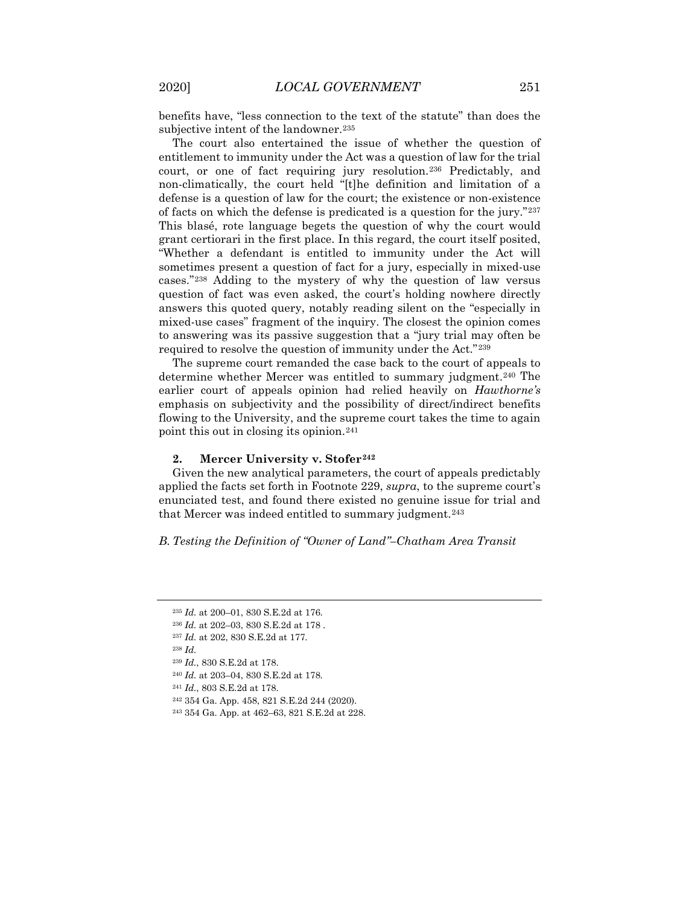benefits have, "less connection to the text of the statute" than does the subjective intent of the landowner.<sup>[235](#page-30-0)</sup>

The court also entertained the issue of whether the question of entitlement to immunity under the Act was a question of law for the trial court, or one of fact requiring jury resolution.[236](#page-30-1) Predictably, and non-climatically, the court held "[t]he definition and limitation of a defense is a question of law for the court; the existence or non-existence of facts on which the defense is predicated is a question for the jury."[237](#page-30-2) This blasé, rote language begets the question of why the court would grant certiorari in the first place. In this regard, the court itself posited, "Whether a defendant is entitled to immunity under the Act will sometimes present a question of fact for a jury, especially in mixed-use cases."[238](#page-30-3) Adding to the mystery of why the question of law versus question of fact was even asked, the court's holding nowhere directly answers this quoted query, notably reading silent on the "especially in mixed-use cases" fragment of the inquiry. The closest the opinion comes to answering was its passive suggestion that a "jury trial may often be required to resolve the question of immunity under the Act."[239](#page-30-4)

The supreme court remanded the case back to the court of appeals to determine whether Mercer was entitled to summary judgment.<sup>[240](#page-30-5)</sup> The earlier court of appeals opinion had relied heavily on *Hawthorne's* emphasis on subjectivity and the possibility of direct/indirect benefits flowing to the University, and the supreme court takes the time to again point this out in closing its opinion.[241](#page-30-6)

#### **2. Mercer University v. Stofer[242](#page-30-7)**

Given the new analytical parameters, the court of appeals predictably applied the facts set forth in Footnote 229, *supra*, to the supreme court's enunciated test, and found there existed no genuine issue for trial and that Mercer was indeed entitled to summary judgment.<sup>[243](#page-30-8)</sup>

*B. Testing the Definition of "Owner of Land"–Chatham Area Transit* 

- <span id="page-30-6"></span><sup>241</sup> *Id.*, 803 S.E.2d at 178.
- <span id="page-30-7"></span><sup>242</sup> 354 Ga. App. 458, 821 S.E.2d 244 (2020).

<span id="page-30-0"></span><sup>235</sup> *Id.* at 200–01, 830 S.E.2d at 176.

<span id="page-30-1"></span><sup>236</sup> *Id.* at 202–03, 830 S.E.2d at 178 .

<span id="page-30-3"></span><span id="page-30-2"></span><sup>237</sup> *Id.* at 202, 830 S.E.2d at 177.

<sup>238</sup> *Id.*

<sup>239</sup> *Id.*, 830 S.E.2d at 178.

<span id="page-30-5"></span><span id="page-30-4"></span><sup>240</sup> *Id.* at 203–04, 830 S.E.2d at 178.

<span id="page-30-8"></span><sup>243</sup> 354 Ga. App. at 462–63, 821 S.E.2d at 228.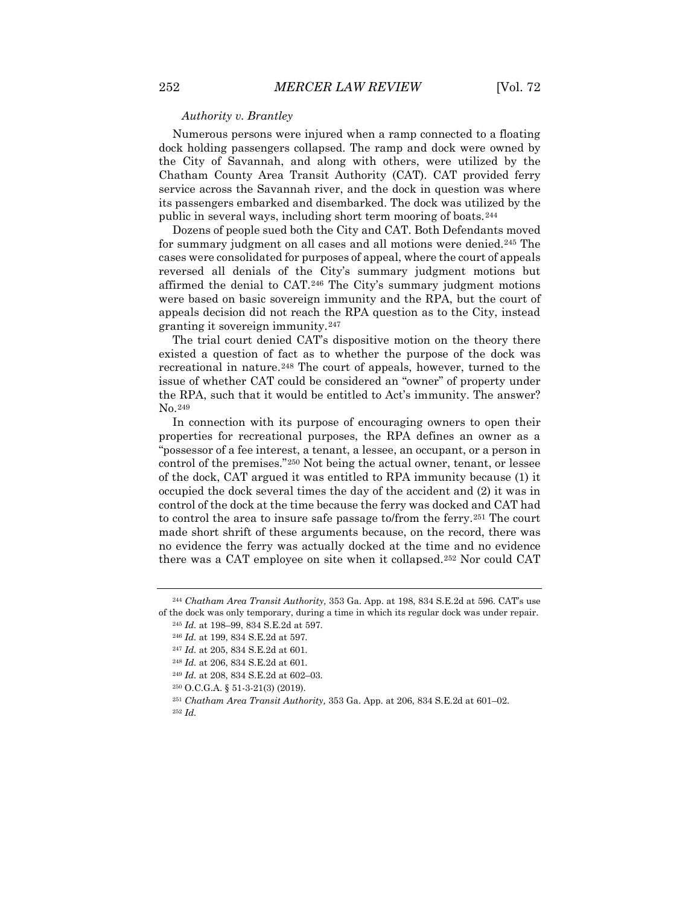#### *Authority v. Brantley*

Numerous persons were injured when a ramp connected to a floating dock holding passengers collapsed. The ramp and dock were owned by the City of Savannah, and along with others, were utilized by the Chatham County Area Transit Authority (CAT). CAT provided ferry service across the Savannah river, and the dock in question was where its passengers embarked and disembarked. The dock was utilized by the public in several ways, including short term mooring of boats.[244](#page-31-0)

Dozens of people sued both the City and CAT. Both Defendants moved for summary judgment on all cases and all motions were denied.[245](#page-31-1) The cases were consolidated for purposes of appeal, where the court of appeals reversed all denials of the City's summary judgment motions but affirmed the denial to CAT.[246](#page-31-2) The City's summary judgment motions were based on basic sovereign immunity and the RPA, but the court of appeals decision did not reach the RPA question as to the City, instead granting it sovereign immunity.[247](#page-31-3)

The trial court denied CAT's dispositive motion on the theory there existed a question of fact as to whether the purpose of the dock was recreational in nature.[248](#page-31-4) The court of appeals, however, turned to the issue of whether CAT could be considered an "owner" of property under the RPA, such that it would be entitled to Act's immunity. The answer? No.[249](#page-31-5)

In connection with its purpose of encouraging owners to open their properties for recreational purposes, the RPA defines an owner as a "possessor of a fee interest, a tenant, a lessee, an occupant, or a person in control of the premises."[250](#page-31-6) Not being the actual owner, tenant, or lessee of the dock, CAT argued it was entitled to RPA immunity because (1) it occupied the dock several times the day of the accident and (2) it was in control of the dock at the time because the ferry was docked and CAT had to control the area to insure safe passage to/from the ferry.[251](#page-31-7) The court made short shrift of these arguments because, on the record, there was no evidence the ferry was actually docked at the time and no evidence there was a CAT employee on site when it collapsed.[252](#page-31-8) Nor could CAT

- <span id="page-31-6"></span><sup>250</sup> O.C.G.A. § 51-3-21(3) (2019).
- <span id="page-31-7"></span><sup>251</sup> *Chatham Area Transit Authority,* 353 Ga. App. at 206, 834 S.E.2d at 601–02.

<span id="page-31-4"></span><span id="page-31-3"></span><span id="page-31-2"></span><span id="page-31-1"></span><span id="page-31-0"></span><sup>244</sup> *Chatham Area Transit Authority,* 353 Ga. App. at 198, 834 S.E.2d at 596. CAT's use of the dock was only temporary, during a time in which its regular dock was under repair.

<sup>245</sup> *Id.* at 198–99, 834 S.E.2d at 597.

<sup>246</sup> *Id.* at 199, 834 S.E.2d at 597.

<sup>247</sup> *Id.* at 205, 834 S.E.2d at 601.

<sup>248</sup> *Id.* at 206, 834 S.E.2d at 601.

<span id="page-31-5"></span><sup>249</sup> *Id.* at 208, 834 S.E.2d at 602–03.

<span id="page-31-8"></span><sup>252</sup> *Id.*